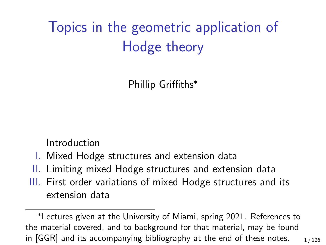## Topics in the geometric application of Hodge theory

Phillip Griffiths<sup>∗</sup>

Introduction

- I. Mixed Hodge structures and extension data
- II. Limiting mixed Hodge structures and extension data
- III. First order variations of mixed Hodge structures and its extension data

<sup>∗</sup>Lectures given at the University of Miami, spring 2021. References to the material covered, and to background for that material, may be found in [GGR] and its accompanying bibliography at the end of these notes.  $1/126$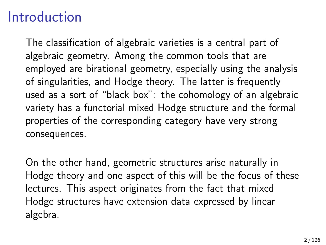## **Introduction**

The classification of algebraic varieties is a central part of algebraic geometry. Among the common tools that are employed are birational geometry, especially using the analysis of singularities, and Hodge theory. The latter is frequently used as a sort of "black box": the cohomology of an algebraic variety has a functorial mixed Hodge structure and the formal properties of the corresponding category have very strong consequences.

On the other hand, geometric structures arise naturally in Hodge theory and one aspect of this will be the focus of these lectures. This aspect originates from the fact that mixed Hodge structures have extension data expressed by linear algebra.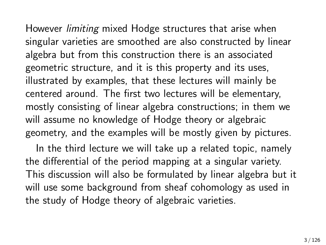However limiting mixed Hodge structures that arise when singular varieties are smoothed are also constructed by linear algebra but from this construction there is an associated geometric structure, and it is this property and its uses, illustrated by examples, that these lectures will mainly be centered around. The first two lectures will be elementary, mostly consisting of linear algebra constructions; in them we will assume no knowledge of Hodge theory or algebraic geometry, and the examples will be mostly given by pictures.

In the third lecture we will take up a related topic, namely the differential of the period mapping at a singular variety. This discussion will also be formulated by linear algebra but it will use some background from sheaf cohomology as used in the study of Hodge theory of algebraic varieties.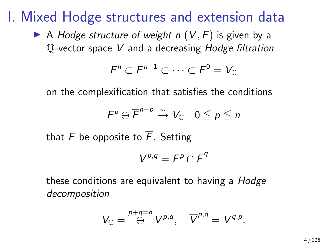I. Mixed Hodge structures and extension data

A Hodge structure of weight n  $(V, F)$  is given by a Q-vector space V and a decreasing Hodge filtration

$$
F^n \subset F^{n-1} \subset \cdots \subset F^0 = V_{\mathbb C}
$$

on the complexification that satisfies the conditions

$$
F^p \oplus \overline{F}^{n-p} \xrightarrow{\sim} V_{\mathbb{C}} \quad 0 \leqq p \leqq n
$$

that F be opposite to  $\overline{F}$ . Setting

$$
V^{p,q}=F^p\cap \overline{F}^q
$$

these conditions are equivalent to having a *Hodge* decomposition

$$
V_{\mathbb C}=\overset{p+q=n}{\oplus}V^{p,q},\quad {\overline V}^{p,q}=V^{q,p}.
$$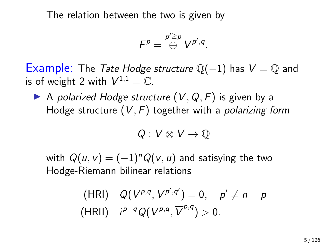The relation between the two is given by

$$
F^p = \overset{p' \geq p}{\oplus} V^{p',q}.
$$

Example: The Tate Hodge structure  $\mathbb{Q}(-1)$  has  $V = \mathbb{Q}$  and is of weight 2 with  $V^{1,1} = \mathbb{C}$ .

A polarized Hodge structure  $(V, Q, F)$  is given by a Hodge structure  $(V, F)$  together with a *polarizing form* 

$$
Q:V\otimes V\to \mathbb{Q}
$$

with  $Q(u, v) = (-1)^n Q(v, u)$  and satisying the two Hodge-Riemann bilinear relations

(HRI) 
$$
Q(V^{p,q}, V^{p',q'}) = 0, p' \neq n - p
$$
  
\n(HRI)  $i^{p-q}Q(V^{p,q}, \overline{V}^{p,q}) > 0.$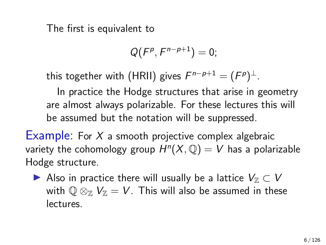The first is equivalent to

$$
Q(F^p,F^{n-p+1})=0;
$$

this together with (HRII) gives  $F^{n-p+1}=(F^p)^{\perp}.$ 

In practice the Hodge structures that arise in geometry are almost always polarizable. For these lectures this will be assumed but the notation will be suppressed.

Example: For  $X$  a smooth projective complex algebraic variety the cohomology group  $H^n(X, \mathbb{Q}) = V$  has a polarizable Hodge structure.

► Also in practice there will usually be a lattice  $V_{\mathbb{Z}} \subset V$ with  $\mathbb{Q} \otimes_{\mathbb{Z}} V_{\mathbb{Z}} = V$ . This will also be assumed in these lectures.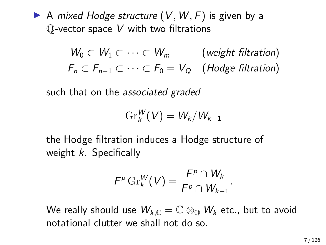A mixed Hodge structure  $(V, W, F)$  is given by a  $\mathbb Q$ -vector space  $V$  with two filtrations

> $W_0 \subset W_1 \subset \cdots \subset W_m$  (weight filtration)  $F_n \subset F_{n-1} \subset \cdots \subset F_0 = V_O$  (Hodge filtration)

such that on the *associated graded* 

$$
\operatorname{Gr}^W_k(V)=W_k/W_{k-1}
$$

the Hodge filtration induces a Hodge structure of weight  $k$ . Specifically

$$
F^p \operatorname{Gr}_k^W(V) = \frac{F^p \cap W_k}{F^p \cap W_{k-1}}.
$$

We really should use  $W_{k,\mathbb{C}}=\mathbb{C}\otimes_{\mathbb{O}} W_k$  etc., but to avoid notational clutter we shall not do so.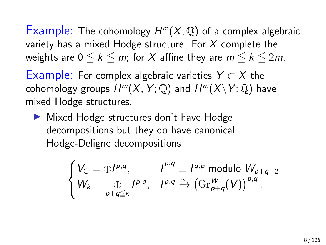Example: The cohomology  $H^m(X, \mathbb{Q})$  of a complex algebraic variety has a mixed Hodge structure. For  $X$  complete the weights are  $0 \leq k \leq m$ ; for X affine they are  $m \leq k \leq 2m$ .

Example: For complex algebraic varieties  $Y \subset X$  the cohomology groups  $H^m(X, Y; \mathbb{Q})$  and  $H^m(X \backslash Y; \mathbb{Q})$  have mixed Hodge structures.

 $\blacktriangleright$  Mixed Hodge structures don't have Hodge decompositions but they do have canonical Hodge-Deligne decompositions

$$
\begin{cases}\nV_{\mathbb{C}} = \bigoplus I^{p,q}, & \bar{I}^{p,q} \equiv I^{q,p} \text{ modulo } W_{p+q-2} \\
W_k = \bigoplus_{p+q \leq k} I^{p,q}, & \bar{I}^{p,q} \xrightarrow{\sim} \left(\text{Gr}_{p+q}^W(V)\right)^{p,q}.\n\end{cases}
$$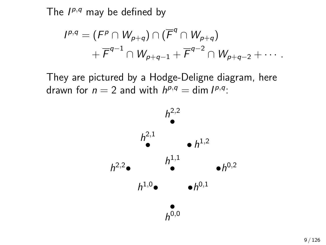The  $I^{p,q}$  may be defined by

$$
I^{p,q} = (F^p \cap W_{p+q}) \cap (\overline{F}^q \cap W_{p+q})
$$
  
+ 
$$
\overline{F}^{q-1} \cap W_{p+q-1} + \overline{F}^{q-2} \cap W_{p+q-2} + \cdots
$$

They are pictured by a Hodge-Deligne diagram, here drawn for  $n = 2$  and with  $h^{p,q} = \dim I^{p,q}$ :

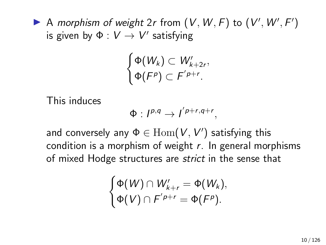A morphism of weight  $2r$  from  $(V, W, F)$  to  $(V', W', F')$ is given by  $\Phi:V\rightarrow V'$  satisfying

$$
\begin{cases}\n\Phi(W_k) \subset W'_{k+2r}, \\
\Phi(F^p) \subset F'^{p+r}.\n\end{cases}
$$

This induces

$$
\Phi: I^{p,q} \to I^{p+r,q+r},
$$

and conversely any  $\Phi \in \mathrm{Hom}(V,V')$  satisfying this condition is a morphism of weight  $r$ . In general morphisms of mixed Hodge structures are strict in the sense that

$$
\begin{cases} \Phi(W) \cap W'_{k+r} = \Phi(W_k), \\ \Phi(V) \cap F'^{p+r} = \Phi(F^p). \end{cases}
$$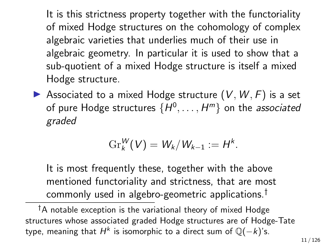It is this strictness property together with the functoriality of mixed Hodge structures on the cohomology of complex algebraic varieties that underlies much of their use in algebraic geometry. In particular it is used to show that a sub-quotient of a mixed Hodge structure is itself a mixed Hodge structure.

 $\blacktriangleright$  Associated to a mixed Hodge structure  $(V, W, F)$  is a set of pure Hodge structures  $\{H^0,\ldots,H^m\}$  on the *associated* graded

$$
\operatorname{Gr}_{k}^{W}(V)=W_{k}/W_{k-1}:=H^{k}.
$$

It is most frequently these, together with the above mentioned functoriality and strictness, that are most commonly used in algebro-geometric applications.†

 $\dagger$ A notable exception is the variational theory of mixed Hodge structures whose associated graded Hodge structures are of Hodge-Tate type, meaning that  $H^k$  is isomorphic to a direct sum of  $\mathbb{Q}(-k)$ 's.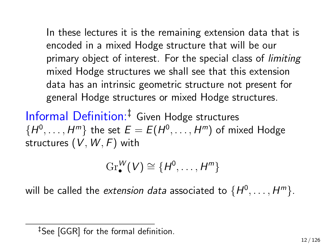In these lectures it is the remaining extension data that is encoded in a mixed Hodge structure that will be our primary object of interest. For the special class of *limiting* mixed Hodge structures we shall see that this extension data has an intrinsic geometric structure not present for general Hodge structures or mixed Hodge structures.

Informal Definition:‡ Given Hodge structures  $\{H^0,\ldots,H^m\}$  the set  $E=E(H^0,\ldots,H^m)$  of mixed Hodge structures  $(V, W, F)$  with

$$
\mathrm{Gr}_\bullet^W(V)\cong\{H^0,\ldots,H^m\}
$$

will be called the *extension data* associated to  $\{H^0,\ldots,H^m\}.$ 

<sup>‡</sup>See [GGR] for the formal definition.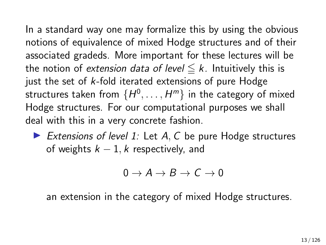In a standard way one may formalize this by using the obvious notions of equivalence of mixed Hodge structures and of their associated gradeds. More important for these lectures will be the notion of extension data of level  $\leq k$ . Intuitively this is just the set of  $k$ -fold iterated extensions of pure Hodge structures taken from  $\{ H^0, \ldots, H^m \}$  in the category of mixed Hodge structures. For our computational purposes we shall deal with this in a very concrete fashion.

Extensions of level 1: Let  $A, C$  be pure Hodge structures of weights  $k - 1$ , k respectively, and

$$
0 \to A \to B \to C \to 0
$$

an extension in the category of mixed Hodge structures.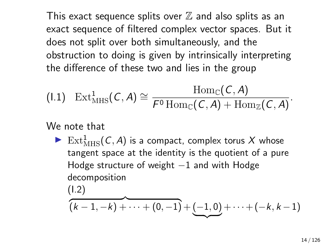This exact sequence splits over  $\mathbb Z$  and also splits as an exact sequence of filtered complex vector spaces. But it does not split over both simultaneously, and the obstruction to doing is given by intrinsically interpreting the difference of these two and lies in the group

$$
(I.1) \quad \mathrm{Ext}^1_{\mathrm{MHS}}(\mathcal{C}, A) \cong \frac{\mathrm{Hom}_{\mathbb{C}}(\mathcal{C}, A)}{F^0 \mathrm{Hom}_{\mathbb{C}}(\mathcal{C}, A) + \mathrm{Hom}_{\mathbb{Z}}(\mathcal{C}, A)}.
$$

We note that

Ext $_{\text{MHS}}^1(\mathcal{C}, \mathcal{A})$  is a compact, complex torus X whose tangent space at the identity is the quotient of a pure Hodge structure of weight  $-1$  and with Hodge decomposition

(I.2)

<span id="page-13-0"></span>
$$
(k-1,-k)+\cdots+(0,-1)+(\underline{(-1,0)}+\cdots+(-k,k-1))
$$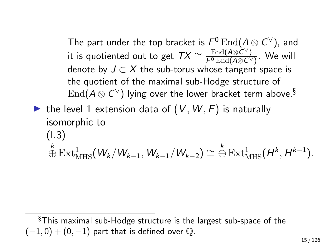The part under the top bracket is  $\mathcal{F}^0 \operatorname{End}(\mathcal{A} \otimes \mathcal{C}^\vee)$ , and it is quotiented out to get  $TX \cong \frac{\mathrm{End}(A \otimes C^{\vee})}{F^0 \mathrm{End}(A \otimes C^{\vee})}$  $\frac{\text{End}(A\otimes C)}{F^0 \text{End}(A\otimes C^{\vee})}$ . We will denote by  $J \subset X$  the sub-torus whose tangent space is the quotient of the maximal sub-Hodge structure of  $\mathrm{End}(A\otimes C^\vee)$  lying over the lower bracket term above. $^{\S}$ 

ighthrow the level 1 extension data of  $(V, W, F)$  is naturally isomorphic to (I.3)  $\stackrel{k}{\oplus} \text{Ext}^1_{\text{MHS}}(W_k/W_{k-1}, W_{k-1}/W_{k-2}) \cong \stackrel{k}{\oplus} \text{Ext}^1_{\text{MHS}}(H^k, H^{k-1}).$ 

<sup>§</sup>This maximal sub-Hodge structure is the largest sub-space of the  $(-1, 0) + (0, -1)$  part that is defined over  $\mathbb{Q}$ .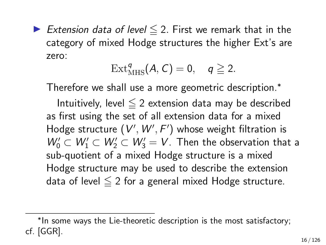Extension data of level  $\leq$  2. First we remark that in the category of mixed Hodge structures the higher Ext's are zero:

$$
\mathrm{Ext}_{\mathrm{MHS}}^q(A, C) = 0, \quad q \geq 2.
$$

Therefore we shall use a more geometric description.<sup>∗</sup>

Intuitively, level  $\leq 2$  extension data may be described as first using the set of all extension data for a mixed Hodge structure  $(V', W', F')$  whose weight filtration is  $W'_0 \subset W'_1 \subset W'_2 \subset W'_3 = V$ . Then the observation that a sub-quotient of a mixed Hodge structure is a mixed Hodge structure may be used to describe the extension data of level  $\leq 2$  for a general mixed Hodge structure.

<sup>∗</sup> In some ways the Lie-theoretic description is the most satisfactory; cf. [GGR].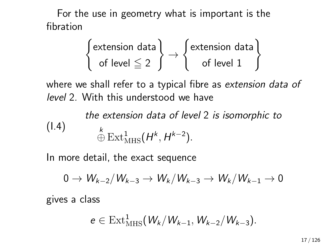For the use in geometry what is important is the fibration

$$
\begin{Bmatrix} \text{extension data} \\ \text{of level} \leqq 2 \end{Bmatrix} \rightarrow \begin{Bmatrix} \text{extension data} \\ \text{of level 1} \end{Bmatrix}
$$

where we shall refer to a typical fibre as extension data of level 2. With this understood we have

<span id="page-16-0"></span>the extension data of level 2 is isomorphic to  $\stackrel{k}{\oplus} \operatorname{Ext}^1_{\operatorname{MHS}}(H^k, H^{k-2}).$ (I.4)

In more detail, the exact sequence

$$
0\rightarrow W_{k-2}/W_{k-3}\rightarrow W_k/W_{k-3}\rightarrow W_k/W_{k-1}\rightarrow 0
$$

gives a class

 $\ddot{\phantom{0}}$ 

$$
e \in \text{Ext}^1_{\text{MHS}}(W_k/W_{k-1}, W_{k-2}/W_{k-3}).
$$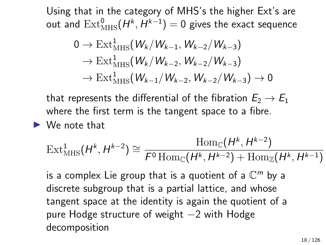Using that in the category of MHS's the higher Ext's are out and  $\mathrm{Ext}^0_{\mathrm{MHS}}(H^k,H^{k-1})=0$  gives the exact sequence

$$
0 \to \text{Ext}^{1}_{\text{MHS}}(W_{k}/W_{k-1}, W_{k-2}/W_{k-3})
$$
  
\n
$$
\to \text{Ext}^{1}_{\text{MHS}}(W_{k}/W_{k-2}, W_{k-2}/W_{k-3})
$$
  
\n
$$
\to \text{Ext}^{1}_{\text{MHS}}(W_{k-1}/W_{k-2}, W_{k-2}/W_{k-3}) \to 0
$$

that represents the differential of the fibration  $E_2 \rightarrow E_1$ where the first term is the tangent space to a fibre.

## $\blacktriangleright$  We note that

$$
\text{Ext}^1_{\text{MHS}}(H^k, H^{k-2}) \cong \frac{\text{Hom}_{\mathbb{C}}(H^k, H^{k-2})}{\mathcal{F}^0 \text{Hom}_{\mathbb{C}}(H^k, H^{k-2}) + \text{Hom}_{\mathbb{Z}}(H^k, H^{k-1})}
$$

is a complex Lie group that is a quotient of a  $\mathbb{C}^m$  by a discrete subgroup that is a partial lattice, and whose tangent space at the identity is again the quotient of a pure Hodge structure of weight −2 with Hodge decomposition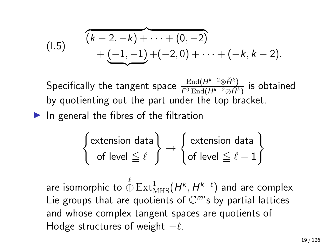<span id="page-18-0"></span>(1.5) 
$$
\overbrace{(k-2,-k)+\cdots+(0,-2)}^{(k-2,-k)+\cdots+(0,-2)} + \underbrace{(-1,-1)}_{(k-2,0)+\cdots+(-k,k-2)}.
$$

Specifically the tangent space  $\frac{\text{End}(H^{k-2}\otimes \breve{H}^k)}{F^0\,\text{End}(H^{k-2}\otimes \breve{H}^k)}$  $\frac{\text{End}(H^{\kappa-2}\otimes H^{\kappa})}{F^0\,\text{End}(H^{k-2}\otimes H^k)}$  is obtained by quotienting out the part under the top bracket.

 $\blacktriangleright$  In general the fibres of the filtration

$$
\begin{Bmatrix} \text{extension data} \\ \text{of level} \leq \ell \end{Bmatrix} \rightarrow \begin{Bmatrix} \text{extension data} \\ \text{of level} \leq \ell - 1 \end{Bmatrix}
$$

are isomorphic to  $\stackrel{\ell}{\oplus} \operatorname{Ext}^1_{\operatorname{MHS}}(H^k,H^{k-\ell})$  and are complex Lie groups that are quotients of  $\mathbb{C}^m$ 's by partial lattices and whose complex tangent spaces are quotients of Hodge structures of weight  $-\ell$ .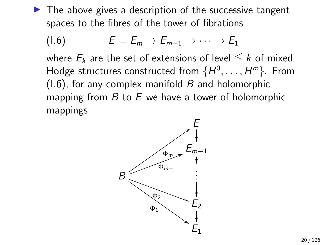$\blacktriangleright$  The above gives a description of the successive tangent spaces to the fibres of the tower of fibrations

<span id="page-19-0"></span>
$$
(1.6) \tE=E_m\to E_{m-1}\to\cdots\to E_1
$$

where  $E_k$  are the set of extensions of level  $\leq k$  of mixed Hodge structures constructed from  $\{H^0,\ldots,H^m\}$ . From  $(1.6)$ , for any complex manifold B and holomorphic mapping from  $B$  to  $E$  we have a tower of holomorphic mappings

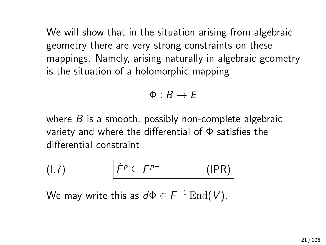We will show that in the situation arising from algebraic geometry there are very strong constraints on these mappings. Namely, arising naturally in algebraic geometry is the situation of a holomorphic mapping

$$
\Phi:B\to E
$$

where  $B$  is a smooth, possibly non-complete algebraic variety and where the differential of Φ satisfies the differential constraint

<span id="page-20-0"></span>
$$
(1.7) \qquad \qquad \overline{\dot{F}^p \subseteq F^{p-1}} \qquad \qquad (\text{IPR})
$$

We may write this as  $d\Phi \in \mathcal{F}^{-1}\operatorname{End}(V).$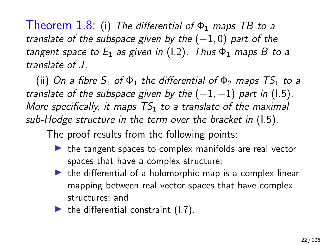Theorem 1.8: (i) The differential of  $\Phi_1$  maps TB to a translate of the subspace given by the  $(-1,0)$  part of the tangent space to  $E_1$  as given in (1.2). Thus  $\Phi_1$  maps B to a translate of J.

(ii) On a fibre  $S_1$  of  $\Phi_1$  the differential of  $\Phi_2$  maps  $TS_1$  to a translate of the subspace given by the  $(-1, -1)$  part in (1.5). More specifically, it maps  $TS<sub>1</sub>$  to a translate of the maximal sub-Hodge structure in the term over the bracket in [\(I.5\)](#page-18-0).

The proof results from the following points:

- $\blacktriangleright$  the tangent spaces to complex manifolds are real vector spaces that have a complex structure;
- $\blacktriangleright$  the differential of a holomorphic map is a complex linear mapping between real vector spaces that have complex structures; and
- $\blacktriangleright$  the differential constraint (1.7).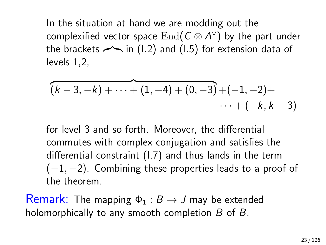In the situation at hand we are modding out the complexified vector space  $\operatorname{End}(\mathcal{C}\otimes A^\vee)$  by the part under the brackets  $\sim$  in [\(I.2\)](#page-13-0) and [\(I.5\)](#page-18-0) for extension data of levels 1,2,

$$
\overbrace{(k-3,-k)+\cdots+(1,-4)+(0,-3)}^{(k-3)+(1,-2)++}+(-1,-2)+\cdots+(-k,k-3)
$$

for level 3 and so forth. Moreover, the differential commutes with complex conjugation and satisfies the differential constraint [\(I.7\)](#page-20-0) and thus lands in the term  $(-1, -2)$ . Combining these properties leads to a proof of the theorem.

Remark: The mapping  $\Phi_1 : B \to J$  may be extended holomorphically to any smooth completion  $\overline{B}$  of B.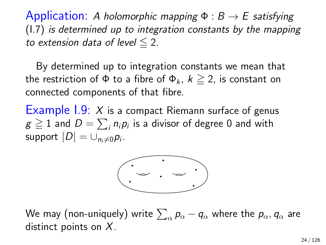Application: A holomorphic mapping  $\Phi : B \to E$  satisfying [\(I.7\)](#page-20-0) is determined up to integration constants by the mapping to extension data of level  $\leq 2$ .

By determined up to integration constants we mean that the restriction of  $\Phi$  to a fibre of  $\Phi_k$ ,  $k \geq 2$ , is constant on connected components of that fibre.

Example  $1.9: X$  is a compact Riemann surface of genus  $g\geqq 1$  and  $D=\sum_i n_i p_i$  is a divisor of degree 0 and with support  $|D| = \cup_{n_i \neq 0} p_i$ .



We may (non-uniquely) write  $\sum_\alpha p_\alpha - q_\alpha$  where the  $p_\alpha, q_\alpha$  are distinct points on X.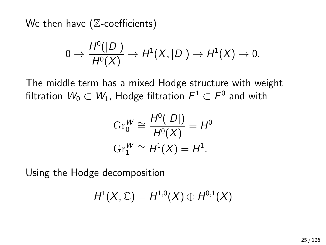We then have  $(Z$ -coefficients)

$$
0 \to \frac{H^0(|D|)}{H^0(X)} \to H^1(X,|D|) \to H^1(X) \to 0.
$$

The middle term has a mixed Hodge structure with weight filtration  $\mathit{W}_{0}\subset\mathit{W}_{1}$ , Hodge filtration  $\mathit{F}^{1}\subset\mathit{F}^{0}$  and with

$$
\mathrm{Gr}_{0}^{W} \cong \frac{H^{0}(|D|)}{H^{0}(X)} = H^{0}
$$

$$
\mathrm{Gr}_{1}^{W} \cong H^{1}(X) = H^{1}.
$$

Using the Hodge decomposition

$$
H^1(X,\mathbb{C})=H^{1,0}(X)\oplus H^{0,1}(X)
$$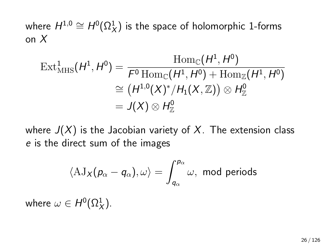where  $H^{1,0} \cong H^0(\Omega^1_X)$  is the space of holomorphic 1-forms on X

$$
\begin{aligned} \operatorname{Ext}^1_{\operatorname{MHS}}(H^1, H^0) &= \frac{\operatorname{Hom}_{\mathbb{C}}(H^1, H^0)}{F^0 \operatorname{Hom}_{\mathbb{C}}(H^1, H^0) + \operatorname{Hom}_{\mathbb{Z}}(H^1, H^0)} \\ &\cong (H^{1,0}(X)^*/H_1(X,\mathbb{Z})) \otimes H^0_{\mathbb{Z}} \\ &= J(X) \otimes H^0_{\mathbb{Z}} \end{aligned}
$$

where  $J(X)$  is the Jacobian variety of X. The extension class e is the direct sum of the images

$$
\langle \mathrm{AJ}_{X}(p_{\alpha}-q_{\alpha}), \omega \rangle = \int_{q_{\alpha}}^{p_{\alpha}} \omega, \text{ mod periods}
$$

where  $\omega \in H^0(\Omega^1_X).$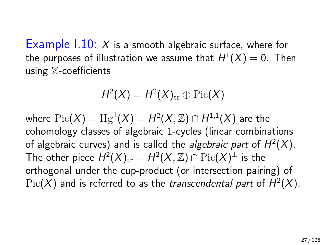Example  $1.10: X$  is a smooth algebraic surface, where for the purposes of illustration we assume that  $H^1(X)=0.$  Then using Z-coefficients

$$
H^2(X) = H^2(X)_{\text{tr}} \oplus \text{Pic}(X)
$$

where  $\mathrm{Pic}(X)=\mathrm{Hg}^1(X)=H^2(X,\mathbb{Z})\cap H^{1,1}(X)$  are the cohomology classes of algebraic 1-cycles (linear combinations of algebraic curves) and is called the *algebraic part* of  $H^2(X)$ . The other piece  $H^2(X)_{\rm tr} = H^2(X,{\mathbb Z}) \cap {\rm Pic}(X)^\perp$  is the orthogonal under the cup-product (or intersection pairing) of  $\mathrm{Pic}(X)$  and is referred to as the *transcendental part* of  $H^2(X)$ .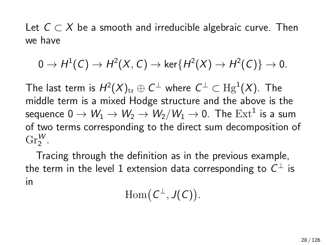Let  $C \subset X$  be a smooth and irreducible algebraic curve. Then we have

$$
0 \to H^1(\mathcal{C}) \to H^2(X,\mathcal{C}) \to \operatorname{ker}\{H^2(X) \to H^2(\mathcal{C})\} \to 0.
$$

The last term is  $H^2(X)_{\text{tr}}\oplus \mathsf{C}^\perp$  where  $\mathsf{C}^\perp\subset {\mathrm{Hg}}^1(X).$  The middle term is a mixed Hodge structure and the above is the sequence  $0\to W_1\to W_2\to W_2/W_1\to 0$ . The  $\mathrm{Ext}^1$  is a sum of two terms corresponding to the direct sum decomposition of  $\text{Gr}_{2}^{W}$ .

Tracing through the definition as in the previous example, the term in the level 1 extension data corresponding to  $C^\perp$  is in

 $\mathrm{Hom}(\mathcal{C}^{\perp},J(\mathcal{C}))$ .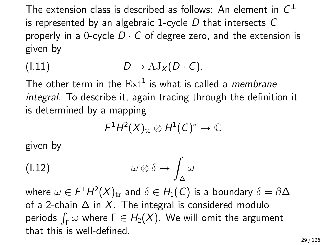The extension class is described as follows: An element in  $\mathsf{C}^\perp$ is represented by an algebraic 1-cycle  $D$  that intersects  $C$ properly in a 0-cycle  $D \cdot C$  of degree zero, and the extension is given by

$$
(1.11) \tD \to \mathrm{AJ}_X(D \cdot C).
$$

The other term in the  $\operatorname{Ext}^1$  is what is called a *membrane* integral. To describe it, again tracing through the definition it is determined by a mapping

<span id="page-28-0"></span>
$$
\digamma^1 H^2(X)_{\rm tr}\otimes H^1(C)^*\to \mathbb{C}
$$

given by

$$
\omega \otimes \delta \to \int_{\Delta} \omega
$$

where  $\omega \in F^1H^2(X)_{\rm tr}$  and  $\delta \in H_1(\mathsf{C})$  is a boundary  $\delta = \partial \Delta$ of a 2-chain  $\Delta$  in X. The integral is considered modulo periods  $\int_{\Gamma}\omega$  where  $\Gamma\in H_2(X)$ . We will omit the argument that this is well-defined.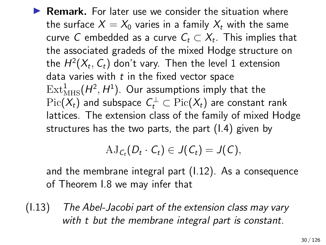$\blacktriangleright$  **Remark.** For later use we consider the situation where the surface  $X = X_0$  varies in a family  $X_t$  with the same curve  $C$  embedded as a curve  $\mathcal{C}_t \subset \mathcal{X}_t.$  This implies that the associated gradeds of the mixed Hodge structure on the  $H^2(X_t, \, \mathcal{C}_t)$  don't vary. Then the level 1 extension data varies with  $t$  in the fixed vector space  $\mathrm{Ext}^1_{\mathrm{MHS}}(H^2,H^1)$ . Our assumptions imply that the  $\mathrm{Pic}(X_t)$  and subspace  $C_t^\perp\subset \mathrm{Pic}(X_t)$  are constant rank lattices. The extension class of the family of mixed Hodge structures has the two parts, the part [\(I.4\)](#page-16-0) given by

$$
AJ_{C_t}(D_t\cdot C_t)\in J(C_t)=J(C),
$$

and the membrane integral part [\(I.12\)](#page-28-0). As a consequence of Theorem I.8 we may infer that

(I.13) The Abel-Jacobi part of the extension class may vary with t but the membrane integral part is constant.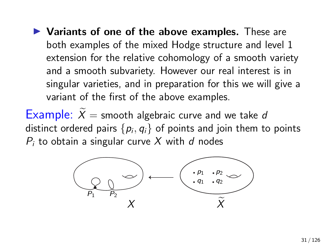$\blacktriangleright$  Variants of one of the above examples. These are both examples of the mixed Hodge structure and level 1 extension for the relative cohomology of a smooth variety and a smooth subvariety. However our real interest is in singular varieties, and in preparation for this we will give a variant of the first of the above examples.

Example:  $\hat{X}$  = smooth algebraic curve and we take d distinct ordered pairs  $\{p_i,q_i\}$  of points and join them to points  $P_i$  to obtain a singular curve X with d nodes

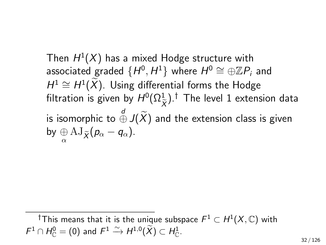Then  $H^1(X)$  has a mixed Hodge structure with associated graded  $\{H^0, H^1\}$  where  $H^0 \cong \oplus \mathbb{Z} P_i$  and  $H^1 \cong H^1(\widetilde{X})$ . Using differential forms the Hodge filtration is given by  $H^0(\Omega_{\tilde{ \mathbf{y}} }^1)$   $^\dagger$  The level 1 extension data  $\chi$ is isomorphic to  $\overset{d}{\oplus}$  J $(\widetilde{X})$  and the extension class is given by  $\underset{\alpha}{\oplus}$   $\mathrm{AJ}_{\widetilde{X}}(p_{\alpha}-q_{\alpha}).$ 

<sup>†</sup>This means that it is the unique subspace  $\mathit{F}^1 \subset H^1(X,\mathbb{C})$  with  $F^1 \cap H^0_{\mathbb{C}} = (0)$  and  $F^1 \xrightarrow{\sim} H^{1,0}(\widetilde{X}) \subset H^1_{\mathbb{C}}$ .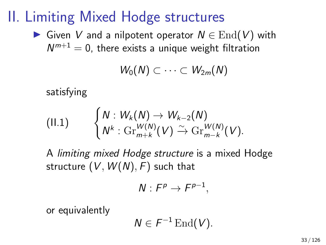## II. Limiting Mixed Hodge structures

► Given V and a nilpotent operator  $N \in \text{End}(V)$  with  $\mathcal{N}^{m+1}=0$ , there exists a unique weight filtration

$$
W_0(N)\subset\cdots\subset W_{2m}(N)
$$

satisfying

<span id="page-32-0"></span>
$$
(II.1) \qquad \begin{cases} N: W_k(N) \to W_{k-2}(N) \\ N^k: \mathrm{Gr}_{m+k}^{W(N)}(V) \xrightarrow{\sim} \mathrm{Gr}_{m-k}^{W(N)}(V). \end{cases}
$$

A limiting mixed Hodge structure is a mixed Hodge structure  $(V, W(N), F)$  such that

$$
N: F^p \to F^{p-1},
$$

or equivalently

$$
N\in F^{-1}\operatorname{End}(V).
$$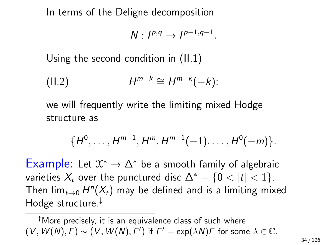In terms of the Deligne decomposition

$$
N: I^{p,q} \to I^{p-1,q-1}.
$$

Using the second condition in [\(II.1\)](#page-32-0)

$$
(II.2) \tH^{m+k} \cong H^{m-k}(-k);
$$

we will frequently write the limiting mixed Hodge structure as

$$
\{H^0,\ldots,H^{m-1},H^m,H^{m-1}(-1),\ldots,H^0(-m)\}.
$$

Example: Let  $\mathfrak{X}^* \to \Delta^*$  be a smooth family of algebraic varieties  $X_t$  over the punctured disc  $\Delta^* = \{0 < |t| < 1\}.$ Then lim $_{t\rightarrow0}$   $H^n(X_t)$  may be defined and is a limiting mixed Hodge structure.‡

‡More precisely, it is an equivalence class of such where  $(V, W(N), F) \sim (V, W(N), F')$  if  $F' = \exp(\lambda N)F$  for some  $\lambda \in \mathbb{C}$ .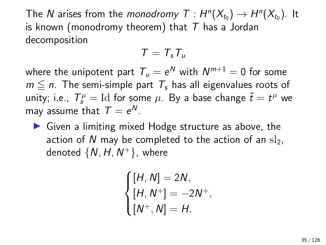The  $N$  arises from the *monodromy T* :  $H^n(X_{t_0}) \to H^n(X_{t_0})$ . It is known (monodromy theorem) that  $T$  has a Jordan decomposition

$$
T=T_s T_u
$$

where the unipotent part  $\, {\mathcal T}_u = e^{{\mathcal N}}$  with  $\, {\mathcal N}^{m+1} = 0 \,$  for some  $m \leq n$ . The semi-simple part  $T<sub>s</sub>$  has all eigenvalues roots of unity; i.e.,  $T_s^{\mu} = \mathrm{Id}$  for some  $\mu$ . By a base change  $\tilde{t} = t^{\mu}$  we may assume that  $T = e^N$ .

 $\triangleright$  Given a limiting mixed Hodge structure as above, the action of N may be completed to the action of an  $sl_2$ , denoted  $\{N,H,N^+\}$ , where

$$
\begin{cases}\n[H, N] = 2N, \\
[H, N^+] = -2N^+, \\
[N^+, N] = H.\n\end{cases}
$$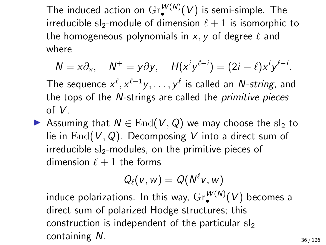The induced action on  $\mathrm{Gr}^{W(N)}_{\bullet}(V)$  is semi-simple. The irreducible sl<sub>2</sub>-module of dimension  $\ell + 1$  is isomorphic to the homogeneous polynomials in  $x, y$  of degree  $\ell$  and where

$$
N = x\partial_x
$$
,  $N^+ = y\partial y$ ,  $H(x^i y^{\ell-i}) = (2i - \ell)x^i y^{\ell-i}$ .

The sequence  $x^\ell, x^{\ell-1}y, \ldots, y^\ell$  is called an  $N$ -string, and the tops of the N-strings are called the primitive pieces of V.

▶ Assuming that  $N \in$  End(V, Q) we may choose the sl<sub>2</sub> to lie in  $\text{End}(V, Q)$ . Decomposing V into a direct sum of irreducible  $sl_2$ -modules, on the primitive pieces of dimension  $\ell + 1$  the forms

$$
Q_{\ell}(v, w) = Q(N^{\ell}v, w)
$$

induce polarizations. In this way,  $\mathrm{Gr}^{W(N)}_{\bullet}(V)$  becomes a direct sum of polarized Hodge structures; this construction is independent of the particular  $sl<sub>2</sub>$ containing N.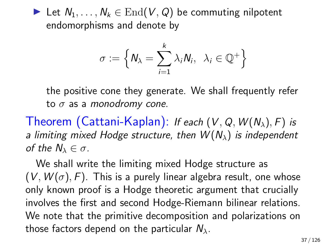► Let  $N_1, \ldots, N_k \in \text{End}(V, Q)$  be commuting nilpotent endomorphisms and denote by

$$
\sigma := \left\{ N_{\lambda} = \sum_{i=1}^{k} \lambda_{i} N_{i}, \lambda_{i} \in \mathbb{Q}^{+} \right\}
$$

the positive cone they generate. We shall frequently refer to  $\sigma$  as a monodromy cone.

Theorem (Cattani-Kaplan): If each  $(V, Q, W(N_\lambda), F)$  is a limiting mixed Hodge structure, then  $W(N_\lambda)$  is independent of the  $N_\lambda \in \sigma$ .

We shall write the limiting mixed Hodge structure as  $(V, W(\sigma), F)$ . This is a purely linear algebra result, one whose only known proof is a Hodge theoretic argument that crucially involves the first and second Hodge-Riemann bilinear relations. We note that the primitive decomposition and polarizations on those factors depend on the particular  $N_{\lambda}$ .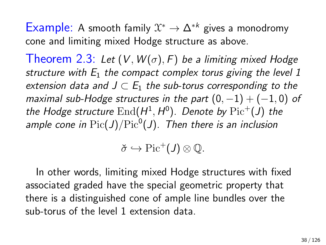Example: A smooth family  $\mathfrak{X}^* \to \Delta^{*k}$  gives a monodromy cone and limiting mixed Hodge structure as above.

Theorem 2.3: Let  $(V, W(\sigma), F)$  be a limiting mixed Hodge structure with  $E_1$  the compact complex torus giving the level 1 extension data and  $J \subset E_1$  the sub-torus corresponding to the maximal sub-Hodge structures in the part  $(0, -1) + (-1, 0)$  of the Hodge structure  $\text{End}(H^1, H^0)$ . Denote by  $\text{Pic}^+(J)$  the ample cone in  $\mathrm{Pic}(J)/\mathrm{Pic}^0(J)$ . Then there is an inclusion

 $\check{\sigma} \hookrightarrow \mathrm{Pic}^+(J) \otimes \mathbb{Q}.$ 

In other words, limiting mixed Hodge structures with fixed associated graded have the special geometric property that there is a distinguished cone of ample line bundles over the sub-torus of the level 1 extension data.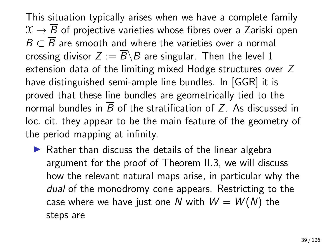This situation typically arises when we have a complete family  $\mathfrak{X} \rightarrow \overline{B}$  of projective varieties whose fibres over a Zariski open  $B \subset \overline{B}$  are smooth and where the varieties over a normal crossing divisor  $Z := \overline{B} \backslash B$  are singular. Then the level 1 extension data of the limiting mixed Hodge structures over Z have distinguished semi-ample line bundles. In [GGR] it is proved that these line bundles are geometrically tied to the normal bundles in  $\overline{B}$  of the stratification of Z. As discussed in loc. cit. they appear to be the main feature of the geometry of the period mapping at infinity.

 $\triangleright$  Rather than discuss the details of the linear algebra argument for the proof of Theorem II.3, we will discuss how the relevant natural maps arise, in particular why the dual of the monodromy cone appears. Restricting to the case where we have just one N with  $W = W(N)$  the steps are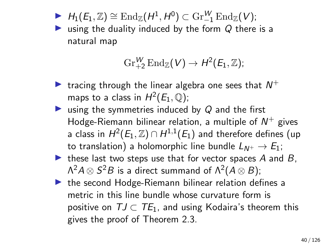$\blacktriangleright$   $H_1(E_1, \mathbb{Z}) \cong \text{End}_{\mathbb{Z}}(H^1, H^0) \subset \text{Gr}_{-1}^W \text{End}_{\mathbb{Z}}(V);$ 

ighthrow using the duality induced by the form  $Q$  there is a natural map

$$
\operatorname{Gr}_{+2}^W\mathrm{End}_{\mathbb{Z}}(V)\rightarrow H^2(E_1,\mathbb{Z});
$$

- In tracing through the linear algebra one sees that  $N^+$ maps to a class in  $H^2(E_1,\mathbb{Q});$
- ightharpoonup using the symmetries induced by  $Q$  and the first Hodge-Riemann bilinear relation, a multiple of  $N^+$  gives a class in  $H^2(E_1,\mathbb{Z})\cap H^{1,1}(E_1)$  and therefore defines (up to translation) a holomorphic line bundle  $L_{N^+} \rightarrow E_1$ ;
- $\triangleright$  these last two steps use that for vector spaces A and B,  $\Lambda^2 A \otimes S^2 B$  is a direct summand of  $\Lambda^2 (A \otimes B);$
- $\triangleright$  the second Hodge-Riemann bilinear relation defines a metric in this line bundle whose curvature form is positive on  $TJ \subset TE_1$ , and using Kodaira's theorem this gives the proof of Theorem 2.3.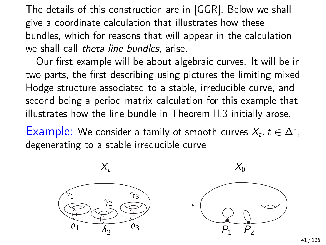The details of this construction are in [GGR]. Below we shall give a coordinate calculation that illustrates how these bundles, which for reasons that will appear in the calculation we shall call theta line bundles, arise.

Our first example will be about algebraic curves. It will be in two parts, the first describing using pictures the limiting mixed Hodge structure associated to a stable, irreducible curve, and second being a period matrix calculation for this example that illustrates how the line bundle in Theorem II.3 initially arose.

Example: We consider a family of smooth curves  $X_t, t \in \Delta^*$ , degenerating to a stable irreducible curve

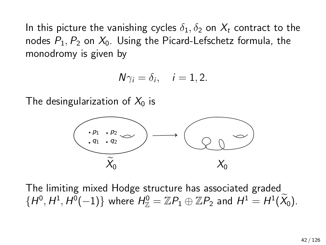In this picture the vanishing cycles  $\delta_1, \delta_2$  on  $X_t$  contract to the nodes  $P_1$ ,  $P_2$  on  $X_0$ . Using the Picard-Lefschetz formula, the monodromy is given by

$$
N\gamma_i=\delta_i, \quad i=1,2.
$$

The desingularization of  $X_0$  is



The limiting mixed Hodge structure has associated graded  $\{H^0, H^1, H^0(-1)\}$  where  $H^0_{\mathbb{Z}} = \mathbb{Z}P_1 \oplus \mathbb{Z}P_2$  and  $H^1 = H^1(\widetilde{X}_0)$ .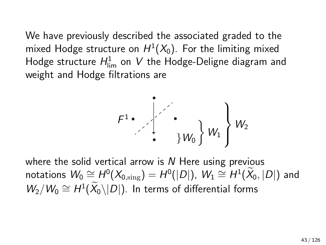We have previously described the associated graded to the mixed Hodge structure on  $H^1(X_0)$ . For the limiting mixed Hodge structure  $H_{\textrm{lim}}^1$  on  $V$  the Hodge-Deligne diagram and weight and Hodge filtrations are



where the solid vertical arrow is  $N$  Here using previous notations  $W_0 \cong H^0(X_{0,\mathrm{sing}}) = H^0(|D|), \ W_1 \cong H^1(\widetilde{X}_0, |D|)$  and  $W_2/W_0 \cong H^1(\widetilde{X}_0 \setminus |D|)$ . In terms of differential forms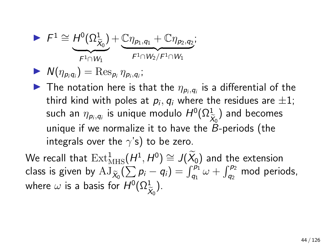$$
\blacktriangleright \hspace{2mm} \digamma^1 \cong \underbrace{\hspace{2mm} H^0(\Omega^1_{\widetilde{X}_0})}_{\digamma^1 \cap W_1} + \underbrace{\mathbb{C} \eta_{p_1,q_1} + \mathbb{C} \eta_{p_2,q_2}}_{\digamma^1 \cap W_2/\digamma^1 \cap W_1};
$$

$$
\blacktriangleright \; N(\eta_{p_iq_i}) = \operatorname{Res}_{p_i} \eta_{p_i,q_i};
$$

The notation here is that the  $\eta_{pi,q_i}$  is a differential of the third kind with poles at  $p_i, q_i$  where the residues are  $\pm 1;$ such an  $\eta_{{\scriptscriptstyle \mathcal{P}} i,\mathsf{q}_i}$  is unique modulo  $H^0(\Omega_{\widehat\lambda}^1)$  $\frac{X_0}{P}$ ) and becomes unique if we normalize it to have the  $B$ -periods (the integrals over the  $\gamma$ 's) to be zero.

We recall that  $\mathrm{Ext}^1_{\mathrm{MHS}}(H^1, H^0) \cong J(\widetilde{X}_0)$  and the extension class is given by  $\mathop{\rm AJ}\nolimits_{\widetilde{X}_0}(\sum p_i - q_i) = \int_{q_1}^{p_1} \omega + \int_{q_2}^{p_2}$  mod periods, where  $\omega$  is a basis for  $H^0(\Omega^1_\mathfrak{S}^1)$  $X_0$ ).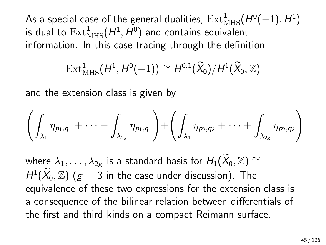As a special case of the general dualities,  $\text{Ext}^1_{\text{MHS}}(H^0(-1), H^1)$ is dual to  $\mathrm{Ext}^1_{\mathrm{MHS}}(H^1,H^0)$  and contains equivalent information. In this case tracing through the definition

$$
\operatorname{Ext}^1_{\operatorname{MHS}}(H^1,H^0(-1))\cong H^{0,1}(\widetilde{X}_0)/H^1(\widetilde{X}_0,\mathbb{Z})
$$

and the extension class is given by

$$
\left(\int_{\lambda_1}\eta_{p_1,q_1}+\cdots+\int_{\lambda_{2g}}\eta_{p_1,q_1}\right)+\left(\int_{\lambda_1}\eta_{p_2,q_2}+\cdots+\int_{\lambda_{2g}}\eta_{p_2,q_2}\right)
$$

where  $\lambda_1, \ldots, \lambda_{2g}$  is a standard basis for  $H_1(\widetilde{X}_0, \mathbb{Z}) \cong$  $H^1(\widetilde{X}_0, \mathbb Z)$   $(g = 3$  in the case under discussion). The equivalence of these two expressions for the extension class is a consequence of the bilinear relation between differentials of the first and third kinds on a compact Reimann surface.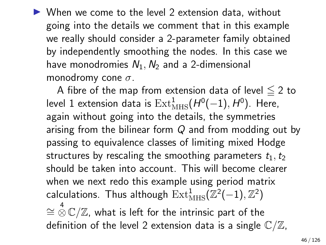$\triangleright$  When we come to the level 2 extension data, without going into the details we comment that in this example we really should consider a 2-parameter family obtained by independently smoothing the nodes. In this case we have monodromies  $N_1, N_2$  and a 2-dimensional monodromy cone  $\sigma$ .

A fibre of the map from extension data of level  $\leq 2$  to level 1 extension data is  $\mathrm{Ext}^1_{\mathrm{MHS}}(H^0(-1), H^0).$  Here, again without going into the details, the symmetries arising from the bilinear form Q and from modding out by passing to equivalence classes of limiting mixed Hodge structures by rescaling the smoothing parameters  $t_1, t_2$ should be taken into account. This will become clearer when we next redo this example using period matrix calculations. Thus although  $\mathrm{Ext}^1_{\mathrm{MHS}}(\mathbb{Z}^2(-1),\mathbb{Z}^2)$  $\cong^4\mathbb{C}/\mathbb{Z}$ , what is left for the intrinsic part of the definition of the level 2 extension data is a single  $\mathbb{C}/\mathbb{Z}$ ,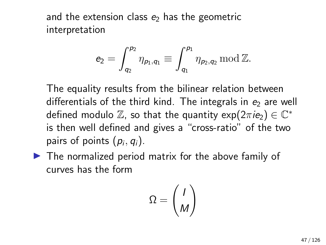and the extension class  $e_2$  has the geometric interpretation

$$
e_2=\int_{q_2}^{p_2}\eta_{p_1,q_1}\equiv\int_{q_1}^{p_1}\eta_{p_2,q_2}\,{\rm mod}\, \mathbb{Z}.
$$

The equality results from the bilinear relation between differentials of the third kind. The integrals in  $e_2$  are well defined modulo  $\mathbb{Z}$ , so that the quantity  $\exp(2\pi i \epsilon_2) \in \mathbb{C}^*$ is then well defined and gives a "cross-ratio" of the two pairs of points  $(p_i, q_i)$ .

 $\blacktriangleright$  The normalized period matrix for the above family of curves has the form

$$
\Omega = \binom{I}{M}
$$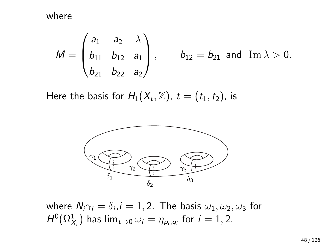where

$$
M = \begin{pmatrix} a_1 & a_2 & \lambda \\ b_{11} & b_{12} & a_1 \\ b_{21} & b_{22} & a_2 \end{pmatrix}, \quad b_{12} = b_{21} \text{ and } \text{Im } \lambda > 0.
$$

Here the basis for  $H_1(X_t, \mathbb{Z})$ ,  $t = (t_1, t_2)$ , is



where  $\textsf{N}_i\gamma_i=\delta_i$ , $i=1,2.$  The basis  $\omega_1,\omega_2,\omega_3$  for  $H^0(\Omega^1_{\mathcal{X}_t})$  has  $\lim_{t\rightarrow 0}\omega_i=\eta_{\rho_i,q_i}$  for  $i=1,2.$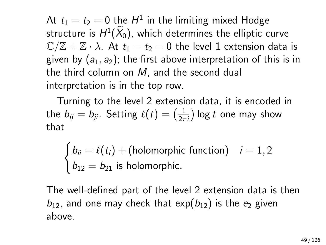At  $t_1=t_2=0$  the  $H^1$  in the limiting mixed Hodge structure is  $H^1(X_0)$ , which determines the elliptic curve  $\mathbb{C}/\mathbb{Z} + \mathbb{Z} \cdot \lambda$ . At  $t_1 = t_2 = 0$  the level 1 extension data is given by  $(a_1, a_2)$ ; the first above interpretation of this is in the third column on M, and the second dual interpretation is in the top row.

Turning to the level 2 extension data, it is encoded in the  $b_{ij} = b_{ji}.$  Setting  $\ell(t) = \bigl(\frac{1}{2\pi}\bigr)$  $\frac{1}{2\pi i}$ ) log  $t$  one may show that

$$
\begin{cases}\nb_{ii} = \ell(t_i) + (\text{holomorphic function}) & i = 1, 2 \\
b_{12} = b_{21} \text{ is holomorphic.}\n\end{cases}
$$

The well-defined part of the level 2 extension data is then  $b_{12}$ , and one may check that exp( $b_{12}$ ) is the  $e_2$  given above.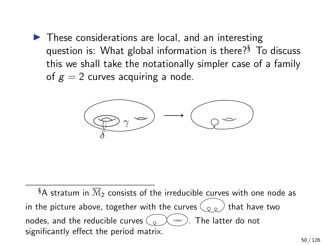$\blacktriangleright$  These considerations are local, and an interesting question is: What global information is there?§ To discuss this we shall take the notationally simpler case of a family of  $g = 2$  curves acquiring a node.



§A stratum in  $\overline{\mathcal{M}}_2$  consists of the irreducible curves with one node as in the picture above, together with the curves  $\binom{\infty}{\infty}$  that have two nodes, and the reducible curves  $\left( \begin{array}{c} 0 \\ 0 \end{array} \right)$ . The latter do not significantly effect the period matrix.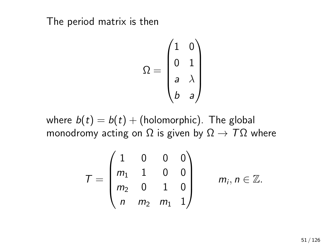The period matrix is then

$$
\Omega = \begin{pmatrix} 1 & 0 \\ 0 & 1 \\ a & \lambda \\ b & a \end{pmatrix}
$$

where  $b(t) = b(t) +$  (holomorphic). The global monodromy acting on  $\Omega$  is given by  $\Omega \to T\Omega$  where

$$
T = \begin{pmatrix} 1 & 0 & 0 & 0 \\ m_1 & 1 & 0 & 0 \\ m_2 & 0 & 1 & 0 \\ n & m_2 & m_1 & 1 \end{pmatrix} \qquad m_i, n \in \mathbb{Z}.
$$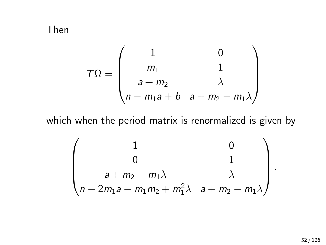Then

$$
T\Omega = \begin{pmatrix} 1 & 0 \\ m_1 & 1 \\ a + m_2 & \lambda \\ n - m_1 a + b & a + m_2 - m_1 \lambda \end{pmatrix}
$$

which when the period matrix is renormalized is given by

$$
\begin{pmatrix}\n1 & 0 \\
0 & 1 \\
a + m_2 - m_1\lambda & \lambda \\
n - 2m_1a - m_1m_2 + m_1^2\lambda & a + m_2 - m_1\lambda\n\end{pmatrix}
$$

.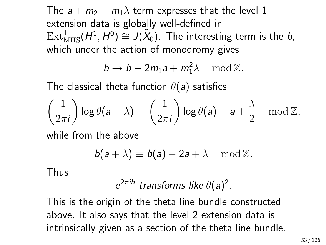The  $a + m_2 - m_1\lambda$  term expresses that the level 1 extension data is globally well-defined in  $\text{Ext}^1_{\text{MHS}}(H^1, H^0) \cong J(\widetilde{X}_0)$ . The interesting term is the *b*, which under the action of monodromy gives

$$
b \to b - 2m_1a + m_1^2\lambda \mod \mathbb{Z}.
$$

The classical theta function  $\theta(a)$  satisfies

$$
\left(\frac{1}{2\pi i}\right) \log \theta(a+\lambda) \equiv \left(\frac{1}{2\pi i}\right) \log \theta(a) - a + \frac{\lambda}{2} \mod \mathbb{Z},
$$

while from the above

$$
b(a+\lambda) \equiv b(a) - 2a + \lambda \mod \mathbb{Z}.
$$

Thus

$$
e^{2\pi ib}
$$
 transforms like  $\theta(a)^2$ .

This is the origin of the theta line bundle constructed above. It also says that the level 2 extension data is intrinsically given as a section of the theta line bundle.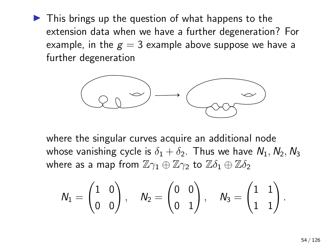$\blacktriangleright$  This brings up the question of what happens to the extension data when we have a further degeneration? For example, in the  $g = 3$  example above suppose we have a further degeneration



where the singular curves acquire an additional node whose vanishing cycle is  $\delta_1 + \delta_2$ . Thus we have  $N_1, N_2, N_3$ where as a map from  $\mathbb{Z}\gamma_1 \oplus \mathbb{Z}\gamma_2$  to  $\mathbb{Z}\delta_1 \oplus \mathbb{Z}\delta_2$ 

$$
\textbf{N}_1 = \begin{pmatrix} 1 & 0 \\ 0 & 0 \end{pmatrix}, \quad \textbf{N}_2 = \begin{pmatrix} 0 & 0 \\ 0 & 1 \end{pmatrix}, \quad \textbf{N}_3 = \begin{pmatrix} 1 & 1 \\ 1 & 1 \end{pmatrix}.
$$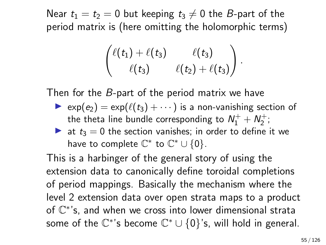Near  $t_1 = t_2 = 0$  but keeping  $t_3 \neq 0$  the B-part of the period matrix is (here omitting the holomorphic terms)

$$
\begin{pmatrix}\ell(t_1)+\ell(t_3)&\ell(t_3)\\ \ell(t_3)&\ell(t_2)+\ell(t_3)\end{pmatrix}
$$

.

Then for the B-part of the period matrix we have

- $\triangleright$  exp( $e_2$ ) = exp( $\ell(t_3)$  + · · · ) is a non-vanishing section of the theta line bundle corresponding to  $\mathcal{N}_1^+ + \mathcal{N}_2^+;$
- ightharpoonup at  $t_3 = 0$  the section vanishes; in order to define it we have to complete  $\mathbb{C}^*$  to  $\mathbb{C}^* \cup \{0\}.$

This is a harbinger of the general story of using the extension data to canonically define toroidal completions of period mappings. Basically the mechanism where the level 2 extension data over open strata maps to a product of  $\mathbb{C}^*$ 's, and when we cross into lower dimensional strata some of the  $\mathbb{C}^*$ 's become  $\mathbb{C}^* \cup \{0\}$ 's, will hold in general.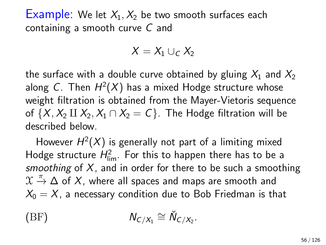**Example:** We let  $X_1, X_2$  be two smooth surfaces each containing a smooth curve C and

$$
X=X_1\cup_C X_2
$$

the surface with a double curve obtained by gluing  $X_1$  and  $X_2$ along C. Then  $H^2(X)$  has a mixed Hodge structure whose weight filtration is obtained from the Mayer-Vietoris sequence of  $\{X, X_2 \amalg X_2, X_1 \cap X_2 = C\}$ . The Hodge filtration will be described below.

However  $H^2(X)$  is generally not part of a limiting mixed Hodge structure  $H_{\text{lim}}^2$ . For this to happen there has to be a smoothing of  $X$ , and in order for there to be such a smoothing  $\mathfrak{X} \stackrel{\pi}{\rightarrow} \Delta$  of  $X$ , where all spaces and maps are smooth and  $X_0 = X$ , a necessary condition due to Bob Friedman is that

$$
(BF) \t\t N_{C/X_1} \cong \check{N}_{C/X_2}.
$$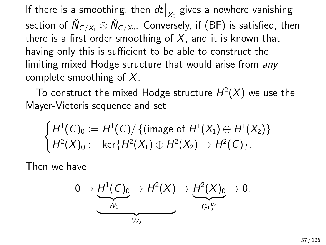If there is a smoothing, then  $dt\big|_{X_0}$  gives a nowhere vanishing section of  $\check N_{C/X_1}\otimes \check N_{C/X_2}$ . Conversely, if (BF) is satisfied, then there is a first order smoothing of  $X$ , and it is known that having only this is sufficient to be able to construct the limiting mixed Hodge structure that would arise from any complete smoothing of  $X$ .

To construct the mixed Hodge structure  $H^2(X)$  we use the Mayer-Vietoris sequence and set

$$
\begin{cases} H^1(C)_0 := H^1(C)/ \{ (\text{image of } H^1(X_1) \oplus H^1(X_2) \} \\ H^2(X)_0 := \ker \{ H^2(X_1) \oplus H^2(X_2) \to H^2(C) \}. \end{cases}
$$

Then we have

$$
0 \to \underbrace{H^1(C)_0}_{W_1} \to H^2(X) \to \underbrace{H^2(X)_0}_{\mathrm{Gr}_2^W} \to 0.
$$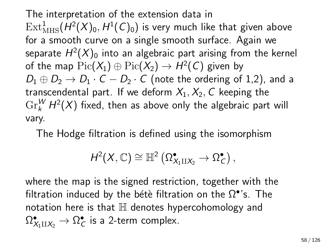The interpretation of the extension data in  $\mathrm{Ext}^1_{\mathrm{MHS}}(H^2({X})_0,H^1(\mathcal{C})_0)$  is very much like that given above for a smooth curve on a single smooth surface. Again we separate  $H^2(X)_0$  into an algebraic part arising from the kernel of the map  $\mathrm{Pic}(X_1) \oplus \mathrm{Pic}(X_2) \rightarrow H^2(\mathsf{C})$  given by  $D_1 \oplus D_2 \rightarrow D_1 \cdot C - D_2 \cdot C$  (note the ordering of 1,2), and a transcendental part. If we deform  $X_1, X_2, C$  keeping the  $\mathrm{Gr}^W_k$   $H^2(X)$  fixed, then as above only the algebraic part will vary.

The Hodge filtration is defined using the isomorphism

$$
H^2(X,\mathbb{C})\cong \mathbb{H}^2\left(\Omega^\bullet_{X_1\amalg X_2}\rightarrow \Omega^\bullet_\mathcal{C}\right),
$$

where the map is the signed restriction, together with the filtration induced by the bétè filtration on the  $\Omega^{\bullet}$ 's. The notation here is that  $\mathbb H$  denotes hypercohomology and  $\Omega^\bullet_{X_1\amalg X_2}\to \Omega^\bullet_\mathcal{C}$  is a 2-term complex.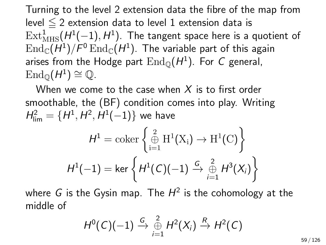Turning to the level 2 extension data the fibre of the map from level  $\leq$  2 extension data to level 1 extension data is  $\mathrm{Ext}^1_{\mathrm{MHS}}(H^1(-1), H^1).$  The tangent space here is a quotient of  $\operatorname{End}\nolimits_{\mathbb C}(H^1)/\mathsf F^0\operatorname{End}\nolimits_{\mathbb C}(H^1).$  The variable part of this again arises from the Hodge part  $\operatorname{End}_{\mathbb Q}(H^1).$  For  $C$  general,  $\operatorname{End}_{\mathbb{Q}}(H^1) \cong \mathbb{Q}.$ 

When we come to the case when  $X$  is to first order smoothable, the (BF) condition comes into play. Writing  $H_{\rm lim}^2 = \{ H^1, H^2, H^1(-1) \}$  we have

H

$$
H1 = \operatorname{coker} \left\{ \bigoplus_{i=1}^{2} \operatorname{H}^{1}(\operatorname{X}_{i}) \to \operatorname{H}^{1}(\operatorname{C}) \right\}
$$

$$
H1(-1) = \ker \left\{ H^{1}(C)(-1) \xrightarrow{G} \bigoplus_{i=1}^{2} H^{3}(X_{i}) \right\}
$$

where  $G$  is the Gysin map. The  $H^2$  is the cohomology at the middle of

$$
H^0(C)(-1)\stackrel{G}{\rightarrow}\mathop{\oplus}\limits_{i=1}^2 H^2(X_i)\stackrel{R}{\rightarrow} H^2(C)
$$

59 / 126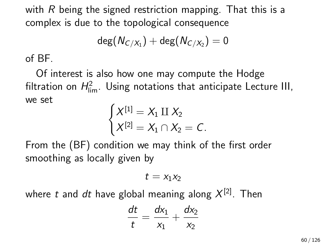with  $R$  being the signed restriction mapping. That this is a complex is due to the topological consequence

$$
\deg(N_{C/X_1})+\deg(N_{C/X_2})=0
$$

of BF.

Of interest is also how one may compute the Hodge filtration on  $H_{\textrm{lim}}^2$ . Using notations that anticipate Lecture III, we set

$$
\begin{cases}\nX^{[1]} = X_1 \amalg X_2 \\
X^{[2]} = X_1 \cap X_2 = C.\n\end{cases}
$$

From the (BF) condition we may think of the first order smoothing as locally given by

$$
t=x_1x_2
$$

where  $t$  and  $dt$  have global meaning along  $X^{[2]}$ . Then

$$
\frac{dt}{t} = \frac{dx_1}{x_1} + \frac{dx_2}{x_2}
$$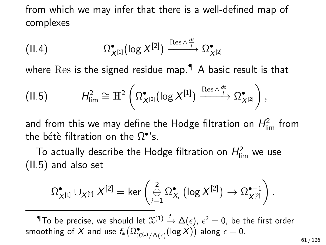from which we may infer that there is a well-defined map of complexes

$$
(II.4) \t\t \t\t \Omega^{\bullet}_{X^{[1]}}(\log X^{[2]}) \xrightarrow{\text{Res} \wedge \frac{dt}{t}} \Omega^{\bullet}_{X^{[2]}}
$$

where  $Res$  is the signed residue map.  $\n <sup>•</sup>$  A basic result is that

<span id="page-60-0"></span>(II.5) 
$$
H_{\lim}^2 \cong \mathbb{H}^2 \left( \Omega_{X^{[2]}}^{\bullet} (\log X^{[1]}) \xrightarrow{\text{Res} \wedge \frac{dt}{t}} \Omega_{X^{[2]}}^{\bullet} \right),
$$

and from this we may define the Hodge filtration on  $H_{\rm lim}^2$  from the bétè filtration on the  $\Omega^{\bullet}$ 's.

To actually describe the Hodge filtration on  $H_{\rm lim}^2$  we use [\(II.5\)](#page-60-0) and also set

$$
\Omega^\bullet_{X^{[1]}}\cup_{X^{[2]}}X^{[2]}=\ker\left(\underset{i=1}{\overset{2}{\oplus}}\Omega^\bullet_{X_i}\left(\log X^{[2]}\right)\to \Omega^{\bullet-1}_{X^{[2]}}\right).
$$

 $\P$ To be precise, we should let  $\mathfrak{X}^{(1)}\stackrel{f}{\to}\Delta(\epsilon)$ ,  $\epsilon^2=0$ , be the first order smoothing of  $X$  and use  $f_*\bigl(\Omega^\bullet_{\mathfrak{X}^{(1)}/\Delta(\epsilon)}(\log X)\bigr)$  along  $\epsilon=0.$ 

61 / 126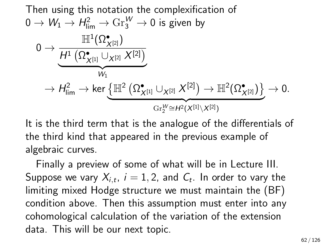Then using this notation the complexification of  
\n
$$
0 \to W_1 \to H_{\lim}^2 \to \text{Gr}_{3}^W \to 0
$$
 is given by  
\n
$$
0 \to \frac{\mathbb{H}^1(\Omega_{X^{[2]}}^{\bullet})}{H^1(\Omega_{X^{[1]}}^{\bullet} \cup_{X^{[2]}} X^{[2]})}
$$
\n
$$
\to H_{\lim}^2 \to \text{ker} \underbrace{\{\mathbb{H}^2(\Omega_{X^{[1]}}^{\bullet} \cup_{X^{[2]}} X^{[2]}) \to \mathbb{H}^2(\Omega_{X^{[2]}}^{\bullet})\}}_{\text{Gr}_{2}^W \cong H^2(X^{[1]} \setminus X^{[2]})} \to 0.
$$

It is the third term that is the analogue of the differentials of the third kind that appeared in the previous example of algebraic curves.

Finally a preview of some of what will be in Lecture III. Suppose we vary  $\lambda_{i,t},\ i=1,2,$  and  $\mathcal{C}_t.$  In order to vary the limiting mixed Hodge structure we must maintain the (BF) condition above. Then this assumption must enter into any cohomological calculation of the variation of the extension data. This will be our next topic.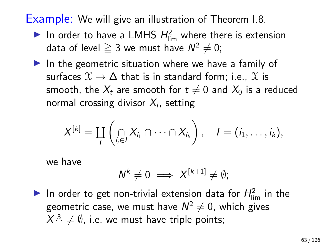## Example: We will give an illustration of Theorem I.8.

- In order to have a LMHS  $H_{\text{lim}}^2$  where there is extension data of level  $\geqq 3$  we must have  $\mathsf{N}^2 \neq 0;$
- $\blacktriangleright$  In the geometric situation where we have a family of surfaces  $\mathfrak{X} \to \Delta$  that is in standard form; i.e.,  $\mathfrak{X}$  is smooth, the  $X_t$  are smooth for  $t \neq 0$  and  $X_0$  is a reduced normal crossing divisor  $\mathcal{X}_i$ , setting

$$
X^{[k]} = \coprod_{l} \left( \bigcap_{j \in l} X_{i_1} \cap \cdots \cap X_{i_k} \right), \quad l = (i_1, \ldots, i_k),
$$

we have

$$
N^k\neq 0 \implies X^{[k+1]}\neq \emptyset;
$$

In order to get non-trivial extension data for  $H_{\text{lim}}^2$  in the geometric case, we must have  $\mathsf{N}^2\neq 0$ , which gives  $X^{[3]} \neq \emptyset$ , i.e. we must have triple points;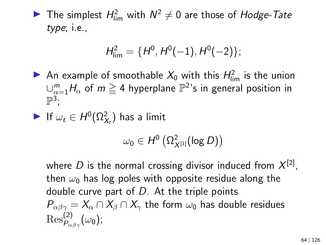The simplest  $H_{\text{lim}}^2$  with  $N^2 \neq 0$  are those of Hodge-Tate type; i.e.,

$$
H_{\text{lim}}^2 = \{H^0, H^0(-1), H^0(-2)\};
$$

- An example of smoothable  $X_0$  with this  $H_{\text{lim}}^2$  is the union  $\cup_{\alpha=1}^m H_{\alpha}$  of  $m\geqq 4$  hyperplane  $\mathbb{P}^2$ 's in general position in  $\mathbb{P}^3$ ;
- If  $\omega_t \in H^0(\Omega^2_{X_t})$  has a limit

$$
\omega_0\in H^0\left(\Omega^2_{X^{[1]}}(\log D)\right)
$$

where  $D$  is the normal crossing divisor induced from  $X^{[2]}$ , then  $\omega_0$  has log poles with opposite residue along the double curve part of  $D$ . At the triple points  $P_{\alpha\beta\gamma} = X_{\alpha} \cap X_{\beta} \cap X_{\gamma}$  the form  $\omega_0$  has double residues  ${\rm Res}^{(2)}_{P_{\alpha\beta\gamma}}(\omega_0)$ ;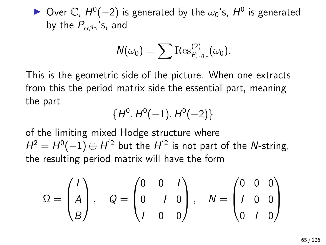▶ Over  $\mathbb{C}$ ,  $H^0(-2)$  is generated by the  $\omega_0$ 's,  $H^0$  is generated by the  $P_{\alpha\beta\gamma}$ 's, and

$$
N(\omega_0)=\sum\mathrm{Res}_{P_{\alpha\beta\gamma}}^{(2)}(\omega_0).
$$

This is the geometric side of the picture. When one extracts from this the period matrix side the essential part, meaning the part

$$
\{H^0, H^0(-1), H^0(-2)\}
$$

of the limiting mixed Hodge structure where  $H^2 = H^0(-1) \oplus H^{'2}$  but the  $H^{'2}$  is not part of the N-string, the resulting period matrix will have the form

$$
\Omega = \begin{pmatrix} I \\ A \\ B \end{pmatrix}, \quad Q = \begin{pmatrix} 0 & 0 & I \\ 0 & -I & 0 \\ I & 0 & 0 \end{pmatrix}, \quad N = \begin{pmatrix} 0 & 0 & 0 \\ I & 0 & 0 \\ 0 & I & 0 \end{pmatrix}
$$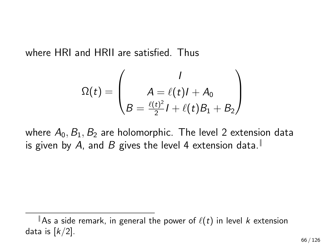where HRI and HRII are satisfied. Thus

$$
\Omega(t) = \begin{pmatrix} I \\ A = \ell(t)I + A_0 \\ B = \frac{\ell(t)^2}{2}I + \ell(t)B_1 + B_2 \end{pmatrix}
$$

where  $A_0$ ,  $B_1$ ,  $B_2$  are holomorphic. The level 2 extension data is given by A, and B gives the level 4 extension data.

 $\parallel$  As a side remark, in general the power of  $\ell(t)$  in level k extension data is  $\lfloor k/2 \rfloor$ .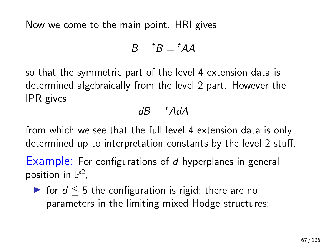Now we come to the main point. HRI gives

$$
B+{}^{t}B={}^{t}AA
$$

so that the symmetric part of the level 4 extension data is determined algebraically from the level 2 part. However the IPR gives

$$
dB={}^tA dA
$$

from which we see that the full level 4 extension data is only determined up to interpretation constants by the level 2 stuff.

Example: For configurations of d hyperplanes in general position in  $\mathbb{P}^2$ ,

 $\triangleright$  for  $d \leq 5$  the configuration is rigid; there are no parameters in the limiting mixed Hodge structures;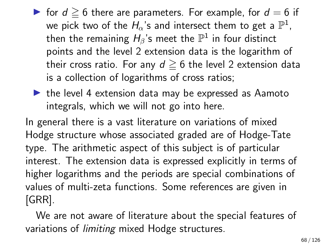- If for  $d \geq 6$  there are parameters. For example, for  $d = 6$  if we pick two of the  $H_{\alpha}$ 's and intersect them to get a  $\mathbb{P}^1$ , then the remaining  $H_{\beta}$ 's meet the  $\mathbb{P}^1$  in four distinct points and the level 2 extension data is the logarithm of their cross ratio. For any  $d \geq 6$  the level 2 extension data is a collection of logarithms of cross ratios;
- $\blacktriangleright$  the level 4 extension data may be expressed as Aamoto integrals, which we will not go into here.

In general there is a vast literature on variations of mixed Hodge structure whose associated graded are of Hodge-Tate type. The arithmetic aspect of this subject is of particular interest. The extension data is expressed explicitly in terms of higher logarithms and the periods are special combinations of values of multi-zeta functions. Some references are given in [GRR].

We are not aware of literature about the special features of variations of limiting mixed Hodge structures.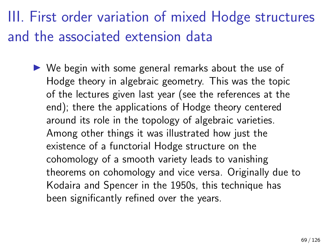## III. First order variation of mixed Hodge structures and the associated extension data

 $\triangleright$  We begin with some general remarks about the use of Hodge theory in algebraic geometry. This was the topic of the lectures given last year (see the references at the end); there the applications of Hodge theory centered around its role in the topology of algebraic varieties. Among other things it was illustrated how just the existence of a functorial Hodge structure on the cohomology of a smooth variety leads to vanishing theorems on cohomology and vice versa. Originally due to Kodaira and Spencer in the 1950s, this technique has been significantly refined over the years.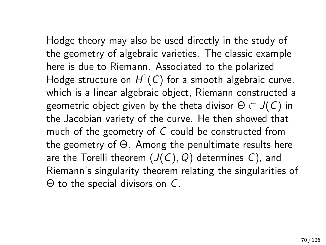Hodge theory may also be used directly in the study of the geometry of algebraic varieties. The classic example here is due to Riemann. Associated to the polarized Hodge structure on  $H^1(\mathsf{C})$  for a smooth algebraic curve, which is a linear algebraic object, Riemann constructed a geometric object given by the theta divisor  $\Theta \subset J(C)$  in the Jacobian variety of the curve. He then showed that much of the geometry of C could be constructed from the geometry of Θ. Among the penultimate results here are the Torelli theorem  $(J(C), Q)$  determines C), and Riemann's singularity theorem relating the singularities of Θ to the special divisors on C.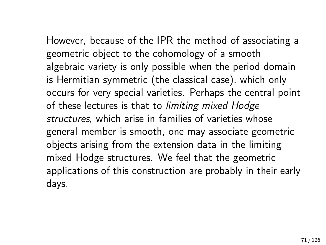However, because of the IPR the method of associating a geometric object to the cohomology of a smooth algebraic variety is only possible when the period domain is Hermitian symmetric (the classical case), which only occurs for very special varieties. Perhaps the central point of these lectures is that to limiting mixed Hodge structures, which arise in families of varieties whose

general member is smooth, one may associate geometric objects arising from the extension data in the limiting mixed Hodge structures. We feel that the geometric applications of this construction are probably in their early days.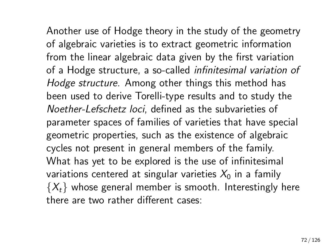Another use of Hodge theory in the study of the geometry of algebraic varieties is to extract geometric information from the linear algebraic data given by the first variation of a Hodge structure, a so-called infinitesimal variation of Hodge structure. Among other things this method has been used to derive Torelli-type results and to study the Noether-Lefschetz loci, defined as the subvarieties of parameter spaces of families of varieties that have special geometric properties, such as the existence of algebraic cycles not present in general members of the family. What has yet to be explored is the use of infinitesimal variations centered at singular varieties  $X_0$  in a family  $\{X_t\}$  whose general member is smooth. Interestingly here there are two rather different cases: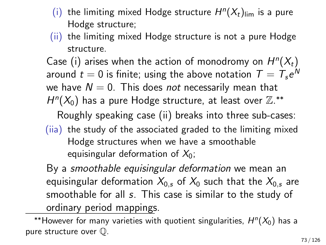- (i) the limiting mixed Hodge structure  $H^n(X_t)_{\text{lim}}$  is a pure Hodge structure;
- (ii) the limiting mixed Hodge structure is not a pure Hodge structure.

Case (i) arises when the action of monodromy on  $H^n(X_t)$ around  $t=0$  is finite; using the above notation  $\, T=\, T_s e^N$ we have  $N = 0$ . This does not necessarily mean that  $H^{n}(X_{0})$  has a pure Hodge structure, at least over  $\mathbb{Z}.^{**}$ 

Roughly speaking case (ii) breaks into three sub-cases: (iia) the study of the associated graded to the limiting mixed Hodge structures when we have a smoothable equisingular deformation of  $X_0$ ;

By a smoothable equisingular deformation we mean an equisingular deformation  $X_{0,s}$  of  $X_0$  such that the  $X_{0,s}$  are smoothable for all s. This case is similar to the study of ordinary period mappings.

\*\*However for many varieties with quotient singularities,  $H^n(X_0)$  has a pure structure over Q.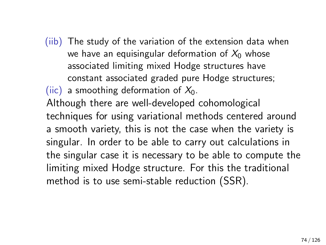(iib) The study of the variation of the extension data when we have an equisingular deformation of  $X_0$  whose associated limiting mixed Hodge structures have constant associated graded pure Hodge structures; (iic) a smoothing deformation of  $X_0$ . Although there are well-developed cohomological

techniques for using variational methods centered around a smooth variety, this is not the case when the variety is singular. In order to be able to carry out calculations in the singular case it is necessary to be able to compute the limiting mixed Hodge structure. For this the traditional method is to use semi-stable reduction (SSR).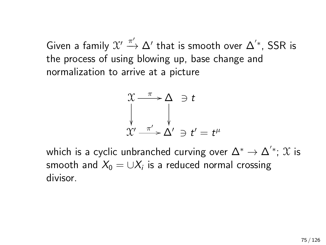Given a family  $\mathfrak{X}' \xrightarrow{\pi'} \Delta'$  that is smooth over  $\Delta^{'\ast}$ , SSR is the process of using blowing up, base change and normalization to arrive at a picture

$$
\begin{array}{ccc}\n\chi & \xrightarrow{\pi} & \Delta & \ni t \\
\downarrow & & \downarrow \\
\chi' & \xrightarrow{\pi'} & \Delta' & \ni t' = t^{\mu}\n\end{array}
$$

which is a cyclic unbranched curving over  $\Delta^* \to \Delta^{'*};\, \mathfrak{X}$  is smooth and  $\mathit{X}_0=\cup\mathit{X}_i$  is a reduced normal crossing divisor.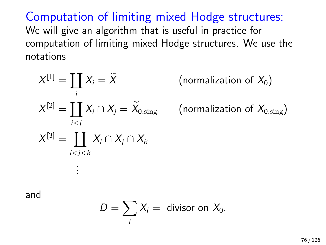Computation of limiting mixed Hodge structures: We will give an algorithm that is useful in practice for computation of limiting mixed Hodge structures. We use the notations

$$
X^{[1]} = \coprod_{i} X_{i} = \widetilde{X}
$$
  

$$
X^{[2]} = \coprod_{i < j} X_{i} \cap X_{j} = \widetilde{X}_{0, \text{sing}}
$$
  

$$
X^{[3]} = \coprod_{i < j < k} X_{i} \cap X_{j} \cap X_{k}
$$
  
...

(normalization of  $X_0$ )

(normalization of  $X_{0.\text{sing}}$ )

and

$$
D=\sum_i X_i=\text{ divisor on }X_0.
$$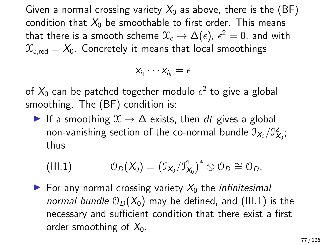Given a normal crossing variety  $X_0$  as above, there is the (BF) condition that  $X_0$  be smoothable to first order. This means that there is a smooth scheme  $\mathfrak{X}_\epsilon \to \Delta(\epsilon)$ ,  $\epsilon^2=$  0, and with  $\mathcal{X}_{\epsilon, \text{red}} = X_0$ . Concretely it means that local smoothings

$$
x_{i_1}\cdots x_{i_k}=\epsilon
$$

of  $X_0$  can be patched together modulo  $\epsilon^2$  to give a global smoothing. The (BF) condition is:

If a smoothing  $\mathfrak{X} \to \Delta$  exists, then dt gives a global non-vanishing section of the co-normal bundle  $\mathfrak{I}_{X_0}/\mathfrak{I}_{X_0}^2;$ thus

<span id="page-76-0"></span>(III.1) 
$$
\mathcal{O}_D(X_0) = (\mathcal{I}_{X_0}/\mathcal{I}_{X_0}^2)^* \otimes \mathcal{O}_D \cong \mathcal{O}_D.
$$

 $\triangleright$  For any normal crossing variety  $X_0$  the *infinitesimal* normal bundle  $\mathcal{O}_D(X_0)$  may be defined, and [\(III.1\)](#page-76-0) is the necessary and sufficient condition that there exist a first order smoothing of  $X_0$ .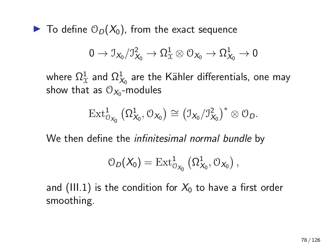$\blacktriangleright$  To define  $\mathcal{O}_D(X_0)$ , from the exact sequence

$$
0\to \mathcal{I}_{X_0}/\mathcal{I}_{X_0}^2\to \Omega^1_{\mathcal{X}}\otimes \mathcal{O}_{X_0}\to \Omega^1_{X_0}\to 0
$$

where  $\Omega^1_{\chi}$  and  $\Omega^1_{\chi_0}$  are the Kähler differentials, one may show that as  $\mathfrak{O}_{\mathcal{X}_0}$ -modules

$$
\operatorname{Ext}^1_{\mathcal{O}_{X_0}}\big(\Omega^1_{X_0},\mathcal{O}_{X_0}\big)\cong \big(\mathfrak{I}_{X_0}/\mathfrak{I}_{X_0}^2\big)^*\otimes \mathcal{O}_D.
$$

We then define the *infinitesimal normal bundle* by

$$
\mathcal{O}_D(X_0)=\operatorname{Ext}^1_{\mathcal{O}_{X_0}}\left(\Omega^1_{X_0},\mathcal{O}_{X_0}\right),
$$

and [\(III.1\)](#page-76-0) is the condition for  $X_0$  to have a first order smoothing.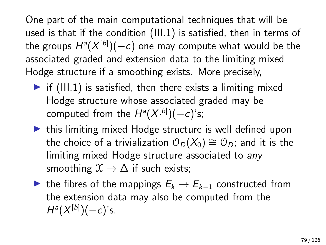One part of the main computational techniques that will be used is that if the condition [\(III.1\)](#page-76-0) is satisfied, then in terms of the groups  $H^a(X^{[b]})(-c)$  one may compute what would be the associated graded and extension data to the limiting mixed Hodge structure if a smoothing exists. More precisely,

- $\triangleright$  if [\(III.1\)](#page-76-0) is satisfied, then there exists a limiting mixed Hodge structure whose associated graded may be computed from the  $H^a(X^{[b]})(-c)$ 's;
- $\blacktriangleright$  this limiting mixed Hodge structure is well defined upon the choice of a trivialization  $\mathcal{O}_D(X_0) \cong \mathcal{O}_D$ ; and it is the limiting mixed Hodge structure associated to any smoothing  $\mathfrak{X} \to \Delta$  if such exists:
- $\triangleright$  the fibres of the mappings  $E_k \rightarrow E_{k-1}$  constructed from the extension data may also be computed from the  $H^a(X^{[b]})(-c)$ 's.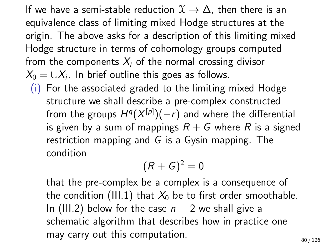If we have a semi-stable reduction  $\mathfrak{X} \to \Delta$ , then there is an equivalence class of limiting mixed Hodge structures at the origin. The above asks for a description of this limiting mixed Hodge structure in terms of cohomology groups computed from the components  $X_i$  of the normal crossing divisor  $\mathcal{X}_0 = \cup \mathcal{X}_i$ . In brief outline this goes as follows.

(i) For the associated graded to the limiting mixed Hodge structure we shall describe a pre-complex constructed from the groups  $H^q(X^{[p]})(-r)$  and where the differential is given by a sum of mappings  $R + G$  where R is a signed restriction mapping and  $G$  is a Gysin mapping. The condition

$$
(R+G)^2=0
$$

that the pre-complex be a complex is a consequence of the condition [\(III.1\)](#page-76-0) that  $X_0$  be to first order smoothable. In [\(III.2\)](#page-81-0) below for the case  $n = 2$  we shall give a schematic algorithm that describes how in practice one may carry out this computation.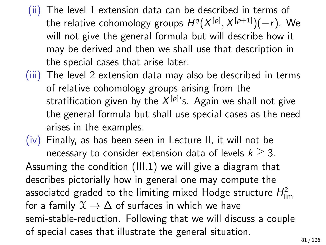- (ii) The level 1 extension data can be described in terms of the relative cohomology groups  $H^q(X^{[p]},X^{[p+1]})(-r)$ . We will not give the general formula but will describe how it may be derived and then we shall use that description in the special cases that arise later.
- (iii) The level 2 extension data may also be described in terms of relative cohomology groups arising from the stratification given by the  $X^{\left[ p\right] }$ 's. Again we shall not give the general formula but shall use special cases as the need arises in the examples.
- (iv) Finally, as has been seen in Lecture II, it will not be necessary to consider extension data of levels  $k \geq 3$ . Assuming the condition [\(III.1\)](#page-76-0) we will give a diagram that describes pictorially how in general one may compute the associated graded to the limiting mixed Hodge structure  $H_{\sf lim}^2$ for a family  $\mathfrak{X} \to \Delta$  of surfaces in which we have semi-stable-reduction. Following that we will discuss a couple of special cases that illustrate the general situation.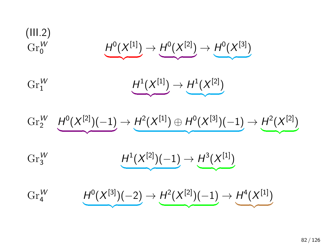(III.2)  
\n
$$
\text{Gr}_{0}^{W} \qquad \qquad \underbrace{H^{0}(X^{[1]}) \to H^{0}(X^{[2]}) \to H^{0}(X^{[3]})}_{\text{Gr}_{1}^{W}} \qquad \qquad H^{1}(X^{[1]}) \to H^{1}(X^{[2]})
$$

<span id="page-81-0"></span>
$$
\mathrm{Gr}_2^W \quad \underbrace{H^0(X^{[2]})(-1)} \to \underbrace{H^2(X^{[1]}) \oplus H^0(X^{[3]})(-1)} \to \underbrace{H^2(X^{[2]})}
$$

| **z**  ${z}$ 

 $\overline{\phantom{a}}$ 

$$
\operatorname{Gr}_{3}^{W} \qquad \qquad \underbrace{H^{1}(X^{[2]})(-1)} \rightarrow \underbrace{H^{3}(X^{[1]})}
$$

 $\text{Gr}_{4}^{W}$  $A^{\mu}$   $H^0(X^{[3]})(-2)$  $\overline{\phantom{a}}$  $\rightarrow H^2(X^{[2]})(-1)$  $\overline{\phantom{a}}$  $\to H^4(X^{[1]})$  $\overline{\phantom{a}}$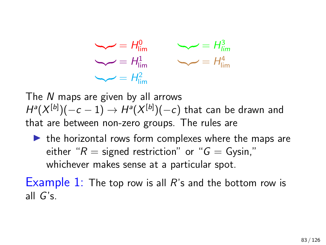

The N maps are given by all arrows  $H^a(X^{[b]})(-c-1) \rightarrow H^a(X^{[b]})(-c)$  that can be drawn and that are between non-zero groups. The rules are

 $\blacktriangleright$  the horizontal rows form complexes where the maps are either " $R =$  signed restriction" or " $G =$  Gysin," whichever makes sense at a particular spot.

Example 1: The top row is all  $R$ 's and the bottom row is all G's.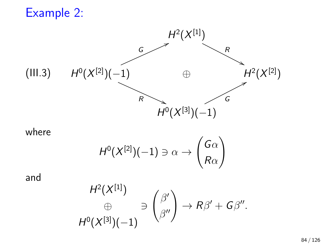Example 2:



<span id="page-83-0"></span>where

$$
H^0(X^{[2]})(-1)\ni\alpha\to\begin{pmatrix}G\alpha\\ R\alpha\end{pmatrix}
$$

and

$$
H^2(X^{[1]})
$$
  
\n
$$
\oplus \qquad \qquad \ominus \qquad \bigg(\beta' \bigg) \rightarrow R\beta' + G\beta''.
$$
  
\n
$$
H^0(X^{[3]})(-1)
$$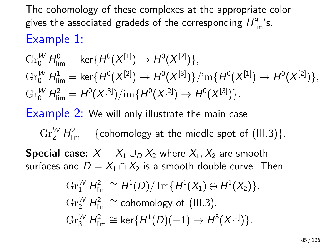## The cohomology of these complexes at the appropriate color gives the associated gradeds of the corresponding  $H_{\text{lim}}^q$  's. Example 1:

$$
\begin{aligned} &\mathrm{Gr}^W_0 \, H^0_{\mathrm{lim}} = \mathsf{ker}\{H^0(X^{[1]}) \to H^0(X^{[2]})\},\\ &\mathrm{Gr}^W_0 \, H^1_{\mathrm{lim}} = \mathsf{ker}\{H^0(X^{[2]}) \to H^0(X^{[3]})\}/\mathrm{im}\{H^0(X^{[1]}) \to H^0(X^{[2]})\},\\ &\mathrm{Gr}^W_0 \, H^2_{\mathrm{lim}} = H^0(X^{[3]})/\mathrm{im}\{H^0(X^{[2]}) \to H^0(X^{[3]})\}. \end{aligned}
$$

Example 2: We will only illustrate the main case

 $\text{Gr}_2^W$   $H^2_{\text{lim}} = \{\text{cohomology at the middle spot of (III.3)}\}.$  $H^2_{\text{lim}} = \{\text{cohomology at the middle spot of (III.3)}\}.$  $H^2_{\text{lim}} = \{\text{cohomology at the middle spot of (III.3)}\}.$ 

**Special case:**  $X = X_1 \cup_{\Omega} X_2$  where  $X_1, X_2$  are smooth surfaces and  $D = X_1 \cap X_2$  is a smooth double curve. Then

$$
\begin{aligned}\n\operatorname{Gr}_{1}^{W} H_{\lim}^{2} &\cong H^{1}(D) / \operatorname{Im}\{H^{1}(X_{1}) \oplus H^{1}(X_{2})\}, \\
\operatorname{Gr}_{2}^{W} H_{\lim}^{2} &\cong \text{cohomology of (III.3)}, \\
\operatorname{Gr}_{3}^{W} H_{\lim}^{2} &\cong \ker\{H^{1}(D)(-1) \to H^{3}(X^{[1]})\}.\n\end{aligned}
$$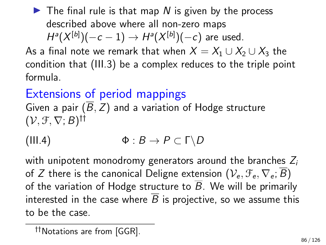$\blacktriangleright$  The final rule is that map N is given by the process described above where all non-zero maps  $H^a(X^{[b]})(-c-1) \rightarrow H^a(X^{[b]})(-c)$  are used.

As a final note we remark that when  $X = X_1 \cup X_2 \cup X_3$  the condition that [\(III.3\)](#page-83-0) be a complex reduces to the triple point formula.

Extensions of period mappings Given a pair  $(\overline{B}, Z)$  and a variation of Hodge structure  $(\mathcal{V}, \mathcal{F}, \nabla; B)$ <sup>††</sup>

<span id="page-85-0"></span>(III.4) 
$$
\Phi: B \to P \subset \Gamma \backslash D
$$

with unipotent monodromy generators around the branches  $Z_i$ of Z there is the canonical Deligne extension  $(\mathcal{V}_{\sigma}, \mathcal{F}_{\sigma}, \nabla_{\sigma}; \overline{B})$ of the variation of Hodge structure to  $\overline{B}$ . We will be primarily interested in the case where  $\overline{B}$  is projective, so we assume this to be the case.

<sup>††</sup>Notations are from [GGR].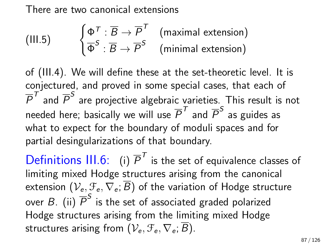There are two canonical extensions

(III.5) 
$$
\begin{cases} \Phi^{\mathcal{T}} : \overline{B} \to \overline{P}^{\mathcal{T}} \\ \overline{\Phi}^{\mathcal{S}} : \overline{B} \to \overline{P}^{\mathcal{S}} \end{cases}
$$
 (maximal extension)

of [\(III.4\)](#page-85-0). We will define these at the set-theoretic level. It is conjectured, and proved in some special cases, that each of  $\overline{P}^{\mathcal T}$  and  $\overline{P}^{\mathcal S}$  are projective algebraic varieties. This result is not needed here; basically we will use  $\overline{P}^{\mathcal T}$  and  $\overline{P}^{\mathcal S}$  as guides as what to expect for the boundary of moduli spaces and for partial desingularizations of that boundary.

Definitions  $III.6$ : (i)  $\overline{P}^T$  is the set of equivalence classes of limiting mixed Hodge structures arising from the canonical extension  $(\mathcal{V}_e, \mathcal{F}_e, \nabla_e, \overline{B})$  of the variation of Hodge structure over  $B_{\cdot}$  (ii)  $\overline{P}^{S}$  is the set of associated graded polarized Hodge structures arising from the limiting mixed Hodge structures arising from  $(\mathcal{V}_e, \mathcal{F}_e, \nabla_e; \overline{B})$ .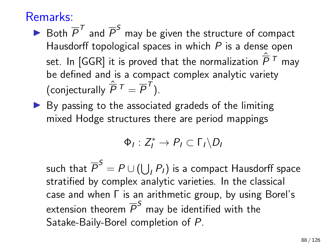### Remarks:

- $\blacktriangleright$  Both  $\overline{P}^T$  and  $\overline{P}^S$  may be given the structure of compact Hausdorff topological spaces in which  $P$  is a dense open set. In [GGR] it is proved that the normalization  $\hat{\overline{P}}^{\,T}$  may be defined and is a compact complex analytic variety (conjecturally  $\hat{\overline{P}}^{\,T}=\overline{P}^{\,T}).$
- $\triangleright$  By passing to the associated gradeds of the limiting mixed Hodge structures there are period mappings

$$
\Phi_I:Z_I^*\to P_I\subset \Gamma_I\backslash D_I
$$

such that  $\overline{P}^S = P \cup (\bigcup_I P_I)$  is a compact Hausdorff space stratified by complex analytic varieties. In the classical case and when Γ is an arithmetic group, by using Borel's extension theorem  $\overline{\mathcal{P}}^{\mathcal{S}}$  may be identified with the Satake-Baily-Borel completion of P.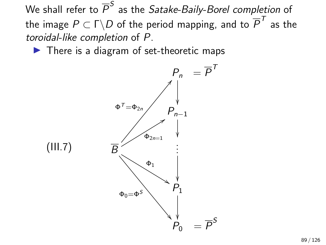We shall refer to  $\overline{\mathcal{P}}^{\mathcal{S}}$  as the *Satake-Baily-Borel completion* of the image  $P\subset \Gamma\backslash D$  of the period mapping, and to  $\overline{P}^{\mathcal T}$  as the toroidal-like completion of P.

 $\blacktriangleright$  There is a diagram of set-theoretic maps

<span id="page-88-0"></span>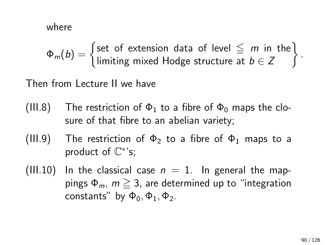where

 $\Phi_m(b) = \begin{cases}$  set of extension data of level  $\leq m$  in the limiting mixed Hodge structure at  $b \in Z$  $\mathcal{L}$ .

Then from Lecture II we have

- The restriction of  $\Phi_1$  to a fibre of  $\Phi_0$  maps the closure of that fibre to an abelian variety; (III.8)
- The restriction of  $\Phi_2$  to a fibre of  $\Phi_1$  maps to a product of  $\mathbb{C}^*$ 's; (III.9)
- (III.10) In the classical case  $n = 1$ . In general the mappings  $\Phi_m$ ,  $m \geq 3$ , are determined up to "integration" constants" by  $\Phi_0$ ,  $\Phi_1$ ,  $\Phi_2$ .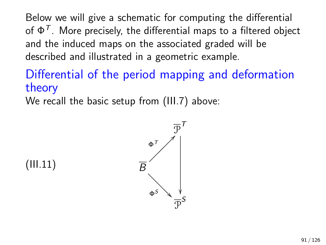Below we will give a schematic for computing the differential of  $\Phi^\mathcal{T}.$  More precisely, the differential maps to a filtered object and the induced maps on the associated graded will be described and illustrated in a geometric example.

# Differential of the period mapping and deformation theory

We recall the basic setup from [\(III.7\)](#page-88-0) above:

<span id="page-90-0"></span>(III.11)

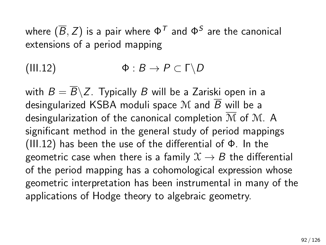where  $(\overline{B},\overline{Z})$  is a pair where  $\Phi^\mathcal{T}$  and  $\Phi^\mathcal{S}$  are the canonical extensions of a period mapping

<span id="page-91-0"></span>(III.12)  $\Phi: B \to P \subset \Gamma \backslash D$ 

with  $B = \overline{B} \backslash Z$ . Typically B will be a Zariski open in a desingularized KSBA moduli space M and  $\overline{B}$  will be a desingularization of the canonical completion  $\overline{M}$  of M. A significant method in the general study of period mappings [\(III.12\)](#page-91-0) has been the use of the differential of Φ. In the geometric case when there is a family  $\mathfrak{X} \rightarrow B$  the differential of the period mapping has a cohomological expression whose geometric interpretation has been instrumental in many of the applications of Hodge theory to algebraic geometry.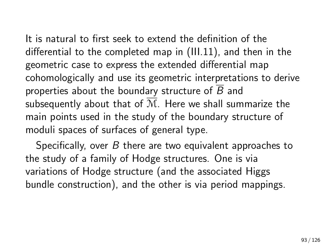It is natural to first seek to extend the definition of the differential to the completed map in [\(III.11\)](#page-90-0), and then in the geometric case to express the extended differential map cohomologically and use its geometric interpretations to derive properties about the boundary structure of  $\overline{B}$  and subsequently about that of  $\overline{M}$ . Here we shall summarize the main points used in the study of the boundary structure of moduli spaces of surfaces of general type.

Specifically, over  $B$  there are two equivalent approaches to the study of a family of Hodge structures. One is via variations of Hodge structure (and the associated Higgs bundle construction), and the other is via period mappings.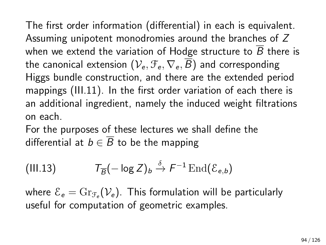The first order information (differential) in each is equivalent. Assuming unipotent monodromies around the branches of Z when we extend the variation of Hodge structure to  $\overline{B}$  there is the canonical extension  $(\mathcal{V}_e, \mathcal{F}_e, \nabla_e, \overline{B})$  and corresponding Higgs bundle construction, and there are the extended period mappings [\(III.11\)](#page-90-0). In the first order variation of each there is an additional ingredient, namely the induced weight filtrations on each.

For the purposes of these lectures we shall define the differential at  $b \in \overline{B}$  to be the mapping

(III.13) 
$$
\mathcal{T}_{\overline{B}}(-\log Z)_{b} \stackrel{\delta}{\rightarrow} F^{-1}\operatorname{End}(\mathcal{E}_{e,b})
$$

where  ${\mathcal E}_{\bm e} = \mathrm{Gr}_{{\mathcal F}_{\bm e}}({\mathcal V}_{\bm e}).$  This formulation will be particularly useful for computation of geometric examples.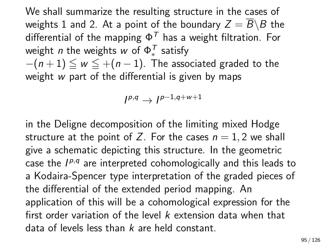We shall summarize the resulting structure in the cases of weights 1 and 2. At a point of the boundary  $Z = \overline{B} \backslash B$  the differential of the mapping  $\Phi^T$  has a weight filtration. For weight *n* the weights  $w$  of  $\Phi_*^{\mathcal{T}}$  satisfy  $-(n+1) \leq w \leq +(n-1)$ . The associated graded to the weight w part of the differential is given by maps

$$
I^{p,q} \to I^{p-1,q+w+1}
$$

in the Deligne decomposition of the limiting mixed Hodge structure at the point of Z. For the cases  $n = 1, 2$  we shall give a schematic depicting this structure. In the geometric case the  $I^{p,q}$  are interpreted cohomologically and this leads to a Kodaira-Spencer type interpretation of the graded pieces of the differential of the extended period mapping. An application of this will be a cohomological expression for the first order variation of the level  $k$  extension data when that data of levels less than  $k$  are held constant.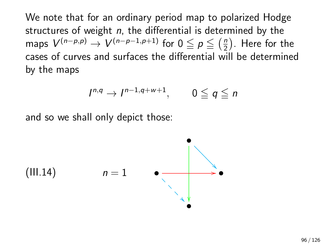We note that for an ordinary period map to polarized Hodge structures of weight  $n$ , the differential is determined by the maps  $V^{(n-p,p)}\to V^{(n-p-1,p+1)}$  for  $0\leqq p\leqq \left(\frac{n}{2}\right)$  $\frac{n}{2}$ ). Here for the cases of curves and surfaces the differential will be determined by the maps

$$
I^{n,q} \to I^{n-1,q+w+1}, \qquad 0 \leq q \leq n
$$

and so we shall only depict those:

<span id="page-95-0"></span>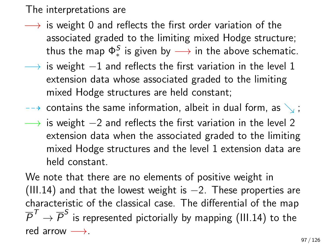#### The interpretations are

- $\longrightarrow$  is weight 0 and reflects the first order variation of the associated graded to the limiting mixed Hodge structure; thus the map  $\Phi^{\mathcal{S}}_*$  is given by  $\longrightarrow$  in the above schematic.
- $\rightarrow$  is weight  $-1$  and reflects the first variation in the level 1 extension data whose associated graded to the limiting mixed Hodge structures are held constant;
- $\rightarrow$  contains the same information, albeit in dual form, as  $\setminus$ ;
- $\rightarrow$  is weight  $-2$  and reflects the first variation in the level 2 extension data when the associated graded to the limiting mixed Hodge structures and the level 1 extension data are held constant.

We note that there are no elements of positive weight in [\(III.14\)](#page-95-0) and that the lowest weight is  $-2$ . These properties are characteristic of the classical case. The differential of the map  $\overline{P}^{\mathcal T} \to \overline{P}^S$  is represented pictorially by mapping [\(III.14\)](#page-95-0) to the red arrow  $\longrightarrow$ .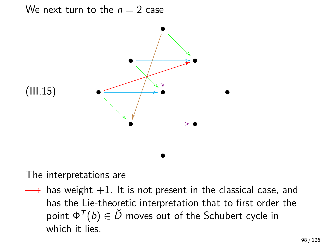We next turn to the  $n = 2$  case



<span id="page-97-0"></span>The interpretations are

 $\rightarrow$  has weight  $+1$ . It is not present in the classical case, and has the Lie-theoretic interpretation that to first order the point  $\Phi^{\mathcal{T}}(b) \in \check{D}$  moves out of the Schubert cycle in which it lies.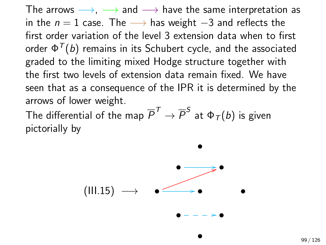The arrows  $\longrightarrow$ ,  $\longrightarrow$  and  $\longrightarrow$  have the same interpretation as in the  $n = 1$  case. The  $→$  has weight  $-3$  and reflects the first order variation of the level 3 extension data when to first order  $\Phi^{\mathcal{T}}(b)$  remains in its Schubert cycle, and the associated graded to the limiting mixed Hodge structure together with the first two levels of extension data remain fixed. We have seen that as a consequence of the IPR it is determined by the arrows of lower weight.

The differential of the map  $\overline{P}^{\mathcal T} \to \overline{P}^S$  at  $\Phi_{\mathcal T}(b)$  is given pictorially by



•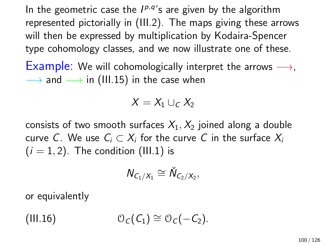In the geometric case the  $I^{p,q}$ 's are given by the algorithm represented pictorially in [\(III.2\)](#page-81-0). The maps giving these arrows will then be expressed by multiplication by Kodaira-Spencer type cohomology classes, and we now illustrate one of these.

Example: We will cohomologically interpret the arrows  $\longrightarrow$ ,  $\rightarrow$  and  $\rightarrow$  in [\(III.15\)](#page-97-0) in the case when

$$
X=X_1\cup_C X_2
$$

consists of two smooth surfaces  $X_1, X_2$  joined along a double curve C. We use  $\mathcal{C}_i \subset X_i$  for the curve  $C$  in the surface  $X_i$  $(i = 1, 2)$ . The condition [\(III.1\)](#page-76-0) is

$$
\textit{N}_{C_1/X_1}\cong \check{\textit{N}}_{C_2/X_2},
$$

or equivalently

(III.16)  $\mathcal{O}_C(C_1) \cong \mathcal{O}_C(-C_2).$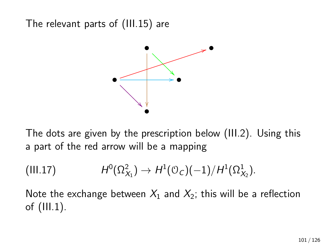The relevant parts of [\(III.15\)](#page-97-0) are



The dots are given by the prescription below [\(III.2\)](#page-81-0). Using this a part of the red arrow will be a mapping

<span id="page-100-0"></span>
$$
(III.17) \tH^0(\Omega^2_{X_1}) \to H^1(\mathcal{O}_C)(-1)/H^1(\Omega^1_{X_2}).
$$

Note the exchange between  $X_1$  and  $X_2$ ; this will be a reflection of [\(III.1\)](#page-76-0).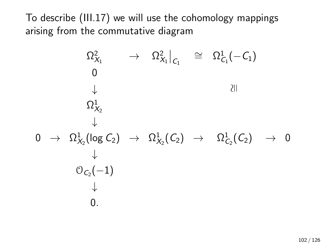To describe [\(III.17\)](#page-100-0) we will use the cohomology mappings arising from the commutative diagram

$$
\begin{array}{ccc}\n\Omega^2_{X_1}&\to&\Omega^2_{X_1}\big|_{C_1}&\cong&\Omega^1_{C_1}(-C_1)\\
&0&&\downarrow&\\
\Omega^1_{X_2}&\downarrow&&\\
0&\to&\Omega^1_{X_2}(\log C_2)&\to&\Omega^1_{X_2}(C_2)&\to&\Omega^1_{C_2}(C_2)&\to&0\\
&\downarrow&&\\
&\mathbb{O}_{C_2}(-1)&\\
&\downarrow&&\\
&0.\end{array}
$$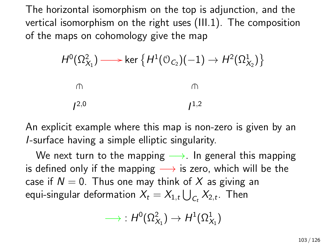The horizontal isomorphism on the top is adjunction, and the vertical isomorphism on the right uses [\(III.1\)](#page-76-0). The composition of the maps on cohomology give the map

$$
H^{0}(\Omega^{2}_{X_{1}}) \longrightarrow \ker \{ H^{1}(\mathcal{O}_{C_{2}})(-1) \to H^{2}(\Omega^{1}_{X_{2}}) \}
$$
\n
$$
\qquad \qquad \cap
$$

 $1^{2,0}$  $1^{,2}$ 

An explicit example where this map is non-zero is given by an I-surface having a simple elliptic singularity.

We next turn to the mapping  $\longrightarrow$ . In general this mapping is defined only if the mapping  $\longrightarrow$  is zero, which will be the case if  $N = 0$ . Thus one may think of X as giving an equi-singular deformation  $X_t = X_{1,t} \bigcup_{\mathcal{C}_t} X_{2,t}.$  Then

$$
\longrightarrow\; H^0(\Omega^2_{X_1})\to H^1(\Omega^1_{X_1})
$$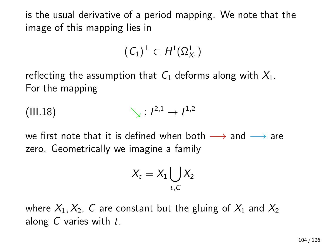is the usual derivative of a period mapping. We note that the image of this mapping lies in

$$
(\mathcal{C}_1)^{\perp} \subset H^1(\Omega^1_{X_1})
$$

reflecting the assumption that  $C_1$  deforms along with  $X_1$ . For the mapping

$$
\text{(III.18)} \qquad \qquad \searrow: l^{2,1} \to l^{1,2}
$$

we first note that it is defined when both  $\longrightarrow$  and  $\longrightarrow$  are zero. Geometrically we imagine a family

<span id="page-103-0"></span>
$$
X_t = X_1 \bigcup_{t,C} X_2
$$

where  $X_1, X_2, C$  are constant but the gluing of  $X_1$  and  $X_2$ along  $C$  varies with  $t$ .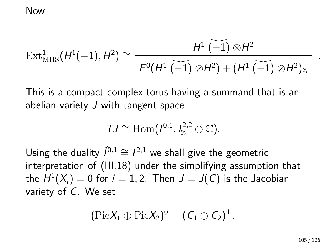#### Now

$$
\text{Ext}^1_{\text{MHS}}(H^1(-1),H^2)\cong \frac{H^1\widetilde{(-1)}\otimes H^2}{F^0(H^1\widetilde{(-1)}\otimes H^2)+ (H^1\widetilde{(-1)}\otimes H^2)_{\mathbb{Z}}}
$$

This is a compact complex torus having a summand that is an abelian variety  $J$  with tangent space

$$
\mathcal{T}J\cong \mathrm{Hom}(I^{0,1},I^{2,2}_\mathbb{Z}\otimes \mathbb{C}).
$$

Using the duality  $\check{I}^{0,1} \cong I^{2,1}$  we shall give the geometric interpretation of [\(III.18\)](#page-103-0) under the simplifying assumption that the  $H^1(X_i)=0$  for  $i=1,2.$  Then  $J=J(\mathsf{C})$  is the Jacobian variety of C. We set

$$
(\mathrm{Pic} X_1\oplus \mathrm{Pic} X_2)^0=(C_1\oplus C_2)^{\perp}.
$$

.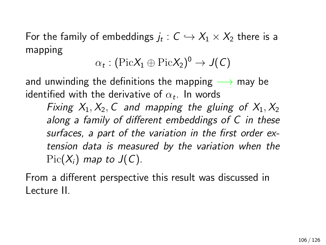For the family of embeddings  $j_t:\mathsf{C}\hookrightarrow \mathsf{X}_1\times \mathsf{X}_2$  there is a mapping

$$
\alpha_t : (\mathrm{Pic} X_1 \oplus \mathrm{Pic} X_2)^0 \to J(C)
$$

and unwinding the definitions the mapping  $\longrightarrow$  may be identified with the derivative of  $\alpha_t.$  In words

Fixing  $X_1, X_2, C$  and mapping the gluing of  $X_1, X_2$ along a family of different embeddings of C in these surfaces, a part of the variation in the first order extension data is measured by the variation when the  $Pic(X_i)$  map to  $J(C)$ .

From a different perspective this result was discussed in Lecture II.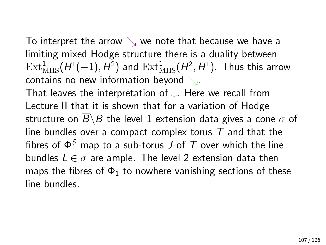To interpret the arrow  $\searrow$  we note that because we have a limiting mixed Hodge structure there is a duality between  $\mathrm{Ext}^1_{\mathrm{MHS}}(H^1(-1), H^2)$  and  $\mathrm{Ext}^1_{\mathrm{MHS}}(H^2, H^1)$ . Thus this arrow contains no new information beyond  $\searrow$ .

That leaves the interpretation of ↓. Here we recall from Lecture II that it is shown that for a variation of Hodge structure on  $\overline{B} \backslash B$  the level 1 extension data gives a cone  $\sigma$  of line bundles over a compact complex torus  $T$  and that the fibres of  $\Phi^S$  map to a sub-torus J of T over which the line bundles  $L \in \sigma$  are ample. The level 2 extension data then maps the fibres of  $\Phi_1$  to nowhere vanishing sections of these line bundles.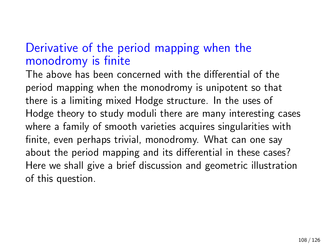## Derivative of the period mapping when the monodromy is finite

The above has been concerned with the differential of the period mapping when the monodromy is unipotent so that there is a limiting mixed Hodge structure. In the uses of Hodge theory to study moduli there are many interesting cases where a family of smooth varieties acquires singularities with finite, even perhaps trivial, monodromy. What can one say about the period mapping and its differential in these cases? Here we shall give a brief discussion and geometric illustration of this question.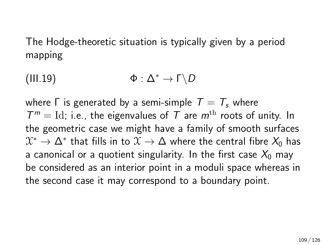The Hodge-theoretic situation is typically given by a period mapping

<span id="page-108-0"></span>(III.19)  $\Phi : \Delta^* \to \Gamma \backslash D$ 

where  $\Gamma$  is generated by a semi-simple  $T = T_s$  where  $T^m =$  Id; i.e., the eigenvalues of T are  $m^{\text{th}}$  roots of unity. In the geometric case we might have a family of smooth surfaces  $\mathfrak{X}^*\to \Delta^*$  that fills in to  $\mathfrak{X}\to \Delta$  where the central fibre  $\mathcal{X}_0$  has a canonical or a quotient singularity. In the first case  $X_0$  may be considered as an interior point in a moduli space whereas in the second case it may correspond to a boundary point.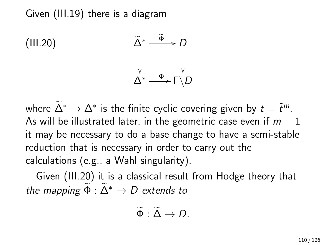<span id="page-109-0"></span>Given [\(III.19\)](#page-108-0) there is a diagram



where  $\Delta^* \to \Delta^*$  is the finite cyclic covering given by  $t = \tilde{t}^m$ . As will be illustrated later, in the geometric case even if  $m = 1$ it may be necessary to do a base change to have a semi-stable reduction that is necessary in order to carry out the calculations (e.g., a Wahl singularity).

Given [\(III.20\)](#page-109-0) it is a classical result from Hodge theory that the mapping  $\widetilde{\Phi}: \widetilde{\Delta}^* \to D$  extends to

$$
\widetilde{\Phi}: \widetilde{\Delta} \to D.
$$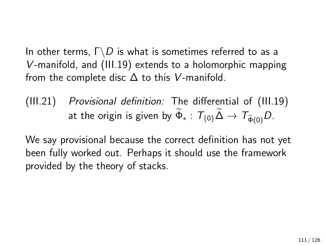In other terms,  $\Gamma \backslash D$  is what is sometimes referred to as a V-manifold, and [\(III.19\)](#page-108-0) extends to a holomorphic mapping from the complete disc  $\Delta$  to this V-manifold.

 $(III.21)$  Provisional definition: The differential of  $(III.19)$ at the origin is given by  $\widetilde{\Phi}_*$  :  $T_{\{0\}}\widetilde{\Delta} \to T_{\widetilde{\Phi}(0)}D$ .

We say provisional because the correct definition has not yet been fully worked out. Perhaps it should use the framework provided by the theory of stacks.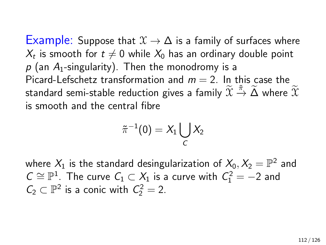Example: Suppose that  $\mathfrak{X} \to \Delta$  is a family of surfaces where  $X_t$  is smooth for  $t\neq 0$  while  $X_0$  has an ordinary double point  $p$  (an  $A_1$ -singularity). Then the monodromy is a Picard-Lefschetz transformation and  $m = 2$ . In this case the standard semi-stable reduction gives a family  $\widetilde{\mathfrak{X}}\stackrel{\tilde{\pi}}{\rightarrow}\widetilde{\Delta}$  where  $\widetilde{\mathfrak{X}}$ is smooth and the central fibre

$$
\tilde{\pi}^{-1}(0)=X_1\bigcup_C X_2
$$

where  $X_1$  is the standard desingularization of  $X_0, X_2 = \mathbb{P}^2$  and  $C \cong \mathbb{P}^1$ . The curve  $C_1 \subset X_1$  is a curve with  $C_1^2 = -2$  and  $C_2 \subset \mathbb{P}^2$  is a conic with  $C_2^2 = 2$ .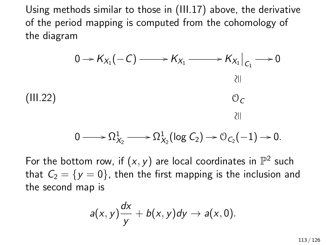Using methods similar to those in [\(III.17\)](#page-100-0) above, the derivative of the period mapping is computed from the cohomology of the diagram

<span id="page-112-0"></span>

$$
0 \longrightarrow \Omega^1_{X_2} \longrightarrow \Omega^1_{X_2}(\log C_2) \longrightarrow \mathcal{O}_{C_2}(-1) \longrightarrow 0.
$$

For the bottom row, if  $(x, y)$  are local coordinates in  $\mathbb{P}^2$  such that  $C_2 = \{y = 0\}$ , then the first mapping is the inclusion and the second map is

$$
a(x,y)\frac{dx}{y}+b(x,y)dy \rightarrow a(x,0).
$$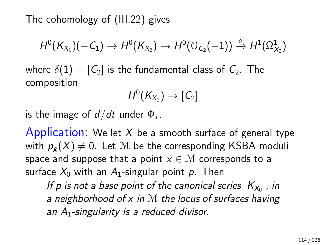The cohomology of [\(III.22\)](#page-112-0) gives

$$
H^0(K_{X_1})(-C_1)\rightarrow H^0(K_{X_2})\rightarrow H^0(\mathbb{O}_{C_2}(-1))\overset{\delta}{\rightarrow} H^1(\Omega^1_{X_2})
$$

where  $\delta(1) = [C_2]$  is the fundamental class of  $C_2$ . The composition

$$
H^0(K_{X_1}) \to [\mathcal{C}_2]
$$

is the image of  $d/dt$  under  $\Phi_{\ast}$ .

Application: We let  $X$  be a smooth surface of general type with  $p_{\sigma}(X) \neq 0$ . Let M be the corresponding KSBA moduli space and suppose that a point  $x \in \mathcal{M}$  corresponds to a surface  $X_0$  with an  $A_1$ -singular point p. Then

If p is not a base point of the canonical series  $|K_{X_0}|$ , in a neighborhood of  $x$  in  $M$  the locus of surfaces having an  $A_1$ -singularity is a reduced divisor.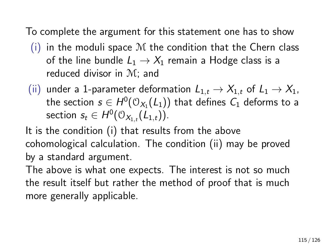To complete the argument for this statement one has to show

- $(i)$  in the moduli space M the condition that the Chern class of the line bundle  $L_1 \rightarrow X_1$  remain a Hodge class is a reduced divisor in M; and
- (ii) under a 1-parameter deformation  $L_{1,t} \to X_{1,t}$  of  $L_1 \to X_1$ , the section  $s \in H^0(\mathbb{O}_{X_1}(L_1))$  that defines  $\mathcal{C}_1$  deforms to a section  $s_t \in H^0(\mathcal{O}_{X_{1,t}}(L_{1,t}))$ .

It is the condition (i) that results from the above cohomological calculation. The condition (ii) may be proved by a standard argument.

The above is what one expects. The interest is not so much the result itself but rather the method of proof that is much more generally applicable.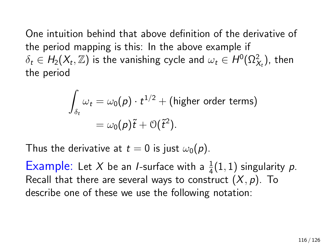One intuition behind that above definition of the derivative of the period mapping is this: In the above example if  $\delta_t \in H_2(X_t, \mathbb{Z})$  is the vanishing cycle and  $\omega_t \in H^0(\Omega^2_{X_t})$ , then the period

$$
\int_{\delta_t} \omega_t = \omega_0(p) \cdot t^{1/2} + \text{(higher order terms)}
$$

$$
= \omega_0(p)\tilde{t} + \mathcal{O}(\tilde{t}^2).
$$

Thus the derivative at  $t = 0$  is just  $\omega_0(p)$ .

Example: Let X be an *I*-surface with a  $\frac{1}{4}(1,1)$  singularity p. Recall that there are several ways to construct  $(X, p)$ . To describe one of these we use the following notation: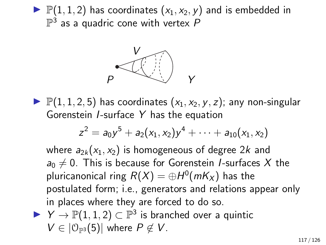$\blacktriangleright$   $\mathbb{P}(1,1,2)$  has coordinates  $(x_1, x_2, y)$  and is embedded in  $\mathbb{P}^3$  as a quadric cone with vertex  $P$ 



 $\blacktriangleright$   $\mathbb{P}(1, 1, 2, 5)$  has coordinates  $(x_1, x_2, y, z)$ ; any non-singular Gorenstein I-surface Y has the equation

$$
z^2 = a_0y^5 + a_2(x_1, x_2)y^4 + \cdots + a_{10}(x_1, x_2)
$$

where  $a_{2k}(x_1, x_2)$  is homogeneous of degree 2k and  $a_0 \neq 0$ . This is because for Gorenstein *I*-surfaces X the pluricanonical ring  $R(X)=\oplus H^0({\it mK}_X)$  has the postulated form; i.e., generators and relations appear only in places where they are forced to do so.

$$
\triangleright \ \ Y \to \mathbb{P}(1,1,2) \subset \mathbb{P}^3 \ \text{is branched over a quintic} \\ V \in |\mathbb{O}_{\mathbb{P}^3}(5)| \ \text{where} \ P \notin V.
$$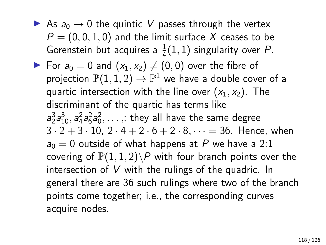As  $a_0 \rightarrow 0$  the quintic V passes through the vertex  $P = (0, 0, 1, 0)$  and the limit surface X ceases to be Gorenstein but acquires a  $\frac{1}{4}(1,1)$  singularity over P. For  $a_0 = 0$  and  $(x_1, x_2) \neq (0, 0)$  over the fibre of projection  $\mathbb{P}(1,1,2)\rightarrow \mathbb{P}^1$  we have a double cover of a quartic intersection with the line over  $(x_1, x_2)$ . The discriminant of the quartic has terms like  $a_2^3a_{10}^3$ ,  $a_4^2a_6^2a_0^2, \ldots$  ;; they all have the same degree  $3 \cdot 2 + 3 \cdot 10$ ,  $2 \cdot 4 + 2 \cdot 6 + 2 \cdot 8$ ,  $\cdots = 36$ . Hence, when  $a_0 = 0$  outside of what happens at P we have a 2:1 covering of  $\mathbb{P}(1,1,2)$  with four branch points over the intersection of V with the rulings of the quadric. In general there are 36 such rulings where two of the branch points come together; i.e., the corresponding curves acquire nodes.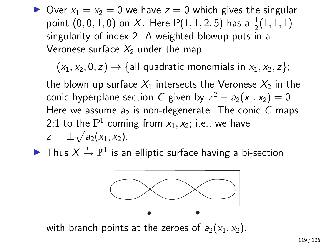$\triangleright$  Over  $x_1 = x_2 = 0$  we have  $z = 0$  which gives the singular point  $(0,0,1,0)$  on X. Here  $\mathbb{P}(1,1,2,5)$  has a  $\frac{1}{2}(1,1,1)$ singularity of index 2. A weighted blowup puts in a Veronese surface  $X_2$  under the map

 $(x_1, x_2, 0, z) \rightarrow \{$ all quadratic monomials in  $x_1, x_2, z\}$ ;

the blown up surface  $X_1$  intersects the Veronese  $X_2$  in the conic hyperplane section C given by  $z^2 - a_2(x_1, x_2) = 0$ . Here we assume  $a_2$  is non-degenerate. The conic C maps 2:1 to the  $\mathbb{P}^1$  coming from  $x_1, x_2$ ; i.e., we have  $z=\pm\sqrt{a_2(x_1,x_2)}.$ 

▶ Thus  $X \stackrel{f}{\rightarrow} \mathbb{P}^1$  is an elliptic surface having a bi-section



with branch points at the zeroes of  $a_2(x_1, x_2)$ .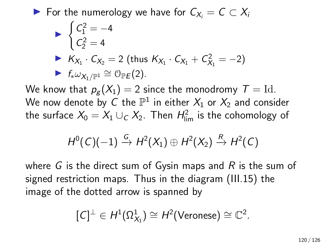► For the numerology we have for  $C_{X_i} = C \subset X_i$ 

$$
\begin{aligned}\n\triangleright \begin{cases}\nC_1^2 &= -4 \\
C_2^2 &= 4\n\end{cases} \\
\triangleright \begin{cases}\nK_{X_1} \cdot C_{X_2} &= 2 \text{ (thus } K_{X_1} \cdot C_{X_1} + C_{X_1}^2 = -2) \\
\triangleright \begin{cases}\nf_* \omega_{X_1 / \mathbb{P}^1} & \text{if } \mathbb{P}(\mathbb{P})\n\end{cases}\n\end{aligned}
$$

We know that  $p_g(X_1) = 2$  since the monodromy  $T = Id$ . We now denote by  $C$  the  $\mathbb{P}^1$  in either  $X_1$  or  $X_2$  and consider the surface  $X_0 = X_1 \cup_C X_2$ . Then  $H_{\sf lim}^2$  is the cohomology of

$$
H^0(C)(-1) \xrightarrow{G} H^2(X_1) \oplus H^2(X_2) \xrightarrow{R} H^2(C)
$$

where G is the direct sum of Gysin maps and R is the sum of signed restriction maps. Thus in the diagram [\(III.15\)](#page-97-0) the image of the dotted arrow is spanned by

$$
[\mathcal{C}]^{\perp} \in H^1(\Omega^1_{X_1}) \cong H^2(\mathsf{Veronese}) \cong \mathbb{C}^2.
$$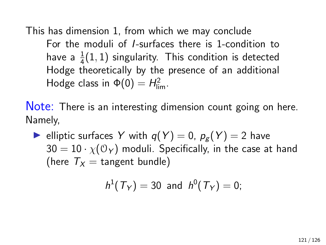This has dimension 1, from which we may conclude For the moduli of I-surfaces there is 1-condition to have a  $\frac{1}{4}(1,1)$  singularity. This condition is detected Hodge theoretically by the presence of an additional Hodge class in  $\Phi(0) = H_{\text{lim}}^2$ .

Note: There is an interesting dimension count going on here. Namely,

lullet elliptic surfaces Y with  $q(Y) = 0$ ,  $p_g(Y) = 2$  have  $30 = 10 \cdot \chi(\mathcal{O}_Y)$  moduli. Specifically, in the case at hand (here  $T_x =$  tangent bundle)

$$
h^1(T_Y) = 30
$$
 and  $h^0(T_Y) = 0$ ;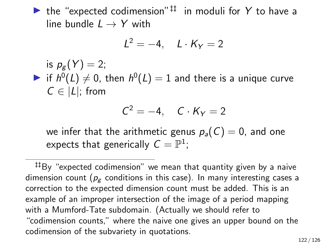If the "expected codimension"<sup> $\ddagger\ddagger$ </sup> in moduli for Y to have a line bundle  $L \rightarrow Y$  with

$$
L^2 = -4, \quad L \cdot K_Y = 2
$$

is  $p_{g}(Y) = 2$ ; if  $h^0(L) \neq 0$ , then  $h^0(L) = 1$  and there is a unique curve  $C \in |L|$ ; from

$$
C^2=-4,\quad C\cdot K_Y=2
$$

we infer that the arithmetic genus  $p_a(C) = 0$ , and one expects that generically  $\mathcal{C}=\mathbb{P}^1;$ 

‡‡By "expected codimension" we mean that quantity given by a naive dimension count ( $p_{\varphi}$  conditions in this case). In many interesting cases a correction to the expected dimension count must be added. This is an example of an improper intersection of the image of a period mapping with a Mumford-Tate subdomain. (Actually we should refer to "codimension counts," where the naive one gives an upper bound on the codimension of the subvariety in quotations.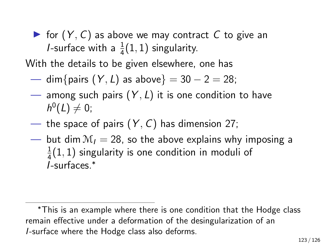$\triangleright$  for  $(Y, C)$  as above we may contract C to give an *I*-surface with a  $\frac{1}{4}(1,1)$  singularity.

With the details to be given elsewhere, one has

- dim{pairs  $(Y, L)$  as above} = 30 2 = 28;
- among such pairs  $(Y, L)$  it is one condition to have  $h^0(L) \neq 0;$
- the space of pairs  $(Y, C)$  has dimension 27;
- but dim  $M_1 = 28$ , so the above explains why imposing a 1  $\frac{1}{4}(1,1)$  singularity is one condition in moduli of I-surfaces.<sup>∗</sup>

<sup>∗</sup>This is an example where there is one condition that the Hodge class remain effective under a deformation of the desingularization of an I-surface where the Hodge class also deforms.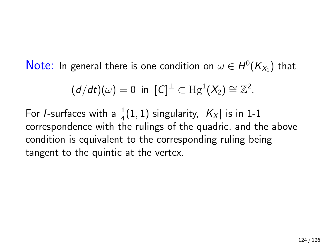$\mathsf{Note:}\,$  In general there is one condition on  $\omega\in H^0(\mathcal{K}_{X_1})$  that

$$
(d/dt)(\omega) = 0 \text{ in } [C]^{\perp} \subset \text{Hg}^{1}(X_{2}) \cong \mathbb{Z}^{2}.
$$

For *I*-surfaces with a  $\frac{1}{4}(1,1)$  singularity,  $|K_X|$  is in 1-1 correspondence with the rulings of the quadric, and the above condition is equivalent to the corresponding ruling being tangent to the quintic at the vertex.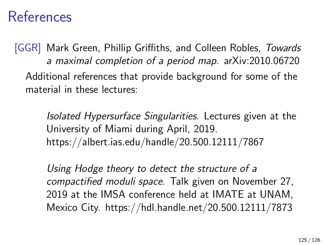## References

[GGR] Mark Green, Phillip Griffiths, and Colleen Robles, Towards a maximal completion of a period map. arXiv:2010.06720 Additional references that provide background for some of the material in these lectures:

> Isolated Hypersurface Singularities. Lectures given at the University of Miami during April, 2019. https://albert.ias.edu/handle/20.500.12111/7867

Using Hodge theory to detect the structure of a compactified moduli space. Talk given on November 27, 2019 at the IMSA conference held at IMATE at UNAM, Mexico City. https://hdl.handle.net/20.500.12111/7873